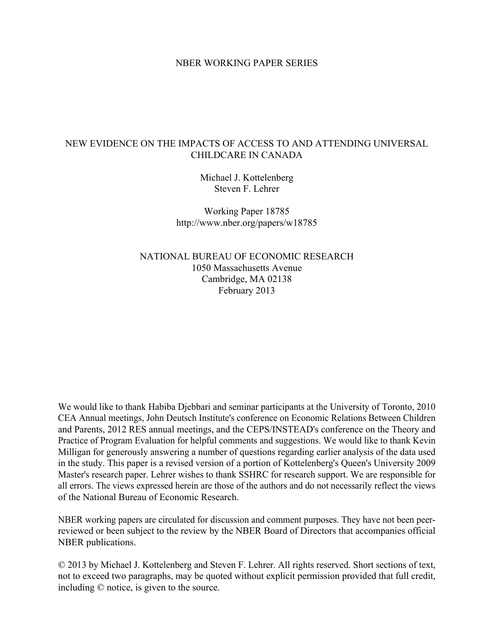#### NBER WORKING PAPER SERIES

#### NEW EVIDENCE ON THE IMPACTS OF ACCESS TO AND ATTENDING UNIVERSAL CHILDCARE IN CANADA

Michael J. Kottelenberg Steven F. Lehrer

Working Paper 18785 http://www.nber.org/papers/w18785

NATIONAL BUREAU OF ECONOMIC RESEARCH 1050 Massachusetts Avenue Cambridge, MA 02138 February 2013

We would like to thank Habiba Djebbari and seminar participants at the University of Toronto, 2010 CEA Annual meetings, John Deutsch Institute's conference on Economic Relations Between Children and Parents, 2012 RES annual meetings, and the CEPS/INSTEAD's conference on the Theory and Practice of Program Evaluation for helpful comments and suggestions. We would like to thank Kevin Milligan for generously answering a number of questions regarding earlier analysis of the data used in the study. This paper is a revised version of a portion of Kottelenberg's Queen's University 2009 Master's research paper. Lehrer wishes to thank SSHRC for research support. We are responsible for all errors. The views expressed herein are those of the authors and do not necessarily reflect the views of the National Bureau of Economic Research.

NBER working papers are circulated for discussion and comment purposes. They have not been peerreviewed or been subject to the review by the NBER Board of Directors that accompanies official NBER publications.

© 2013 by Michael J. Kottelenberg and Steven F. Lehrer. All rights reserved. Short sections of text, not to exceed two paragraphs, may be quoted without explicit permission provided that full credit, including © notice, is given to the source.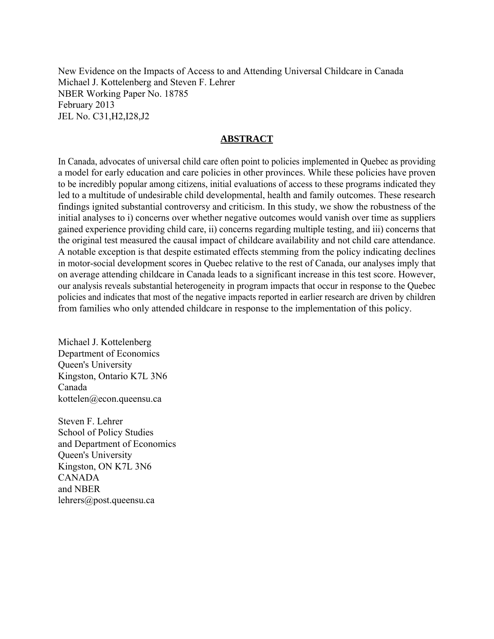New Evidence on the Impacts of Access to and Attending Universal Childcare in Canada Michael J. Kottelenberg and Steven F. Lehrer NBER Working Paper No. 18785 February 2013 JEL No. C31,H2,I28,J2

#### **ABSTRACT**

In Canada, advocates of universal child care often point to policies implemented in Quebec as providing a model for early education and care policies in other provinces. While these policies have proven to be incredibly popular among citizens, initial evaluations of access to these programs indicated they led to a multitude of undesirable child developmental, health and family outcomes. These research findings ignited substantial controversy and criticism. In this study, we show the robustness of the initial analyses to i) concerns over whether negative outcomes would vanish over time as suppliers gained experience providing child care, ii) concerns regarding multiple testing, and iii) concerns that the original test measured the causal impact of childcare availability and not child care attendance. A notable exception is that despite estimated effects stemming from the policy indicating declines in motor-social development scores in Quebec relative to the rest of Canada, our analyses imply that on average attending childcare in Canada leads to a significant increase in this test score. However, our analysis reveals substantial heterogeneity in program impacts that occur in response to the Quebec policies and indicates that most of the negative impacts reported in earlier research are driven by children from families who only attended childcare in response to the implementation of this policy.

Michael J. Kottelenberg Department of Economics Queen's University Kingston, Ontario K7L 3N6 Canada kottelen@econ.queensu.ca

Steven F. Lehrer School of Policy Studies and Department of Economics Queen's University Kingston, ON K7L 3N6 CANADA and NBER lehrers@post.queensu.ca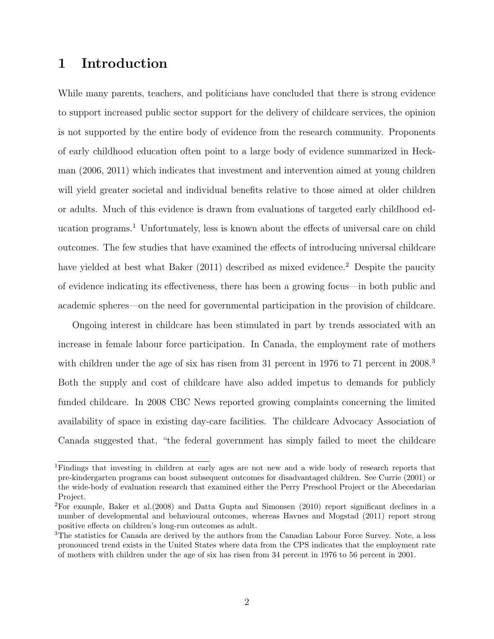## 1 Introduction

While many parents, teachers, and politicians have concluded that there is strong evidence to support increased public sector support for the delivery of childcare services, the opinion is not supported by the entire body of evidence from the research community. Proponents of early childhood education often point to a large body of evidence summarized in Heckman (2006, 2011) which indicates that investment and intervention aimed at young children will yield greater societal and individual benefits relative to those aimed at older children or adults. Much of this evidence is drawn from evaluations of targeted early childhood ed-ucation programs.<sup>[1](#page--1-0)</sup> Unfortunately, less is known about the effects of universal care on child outcomes. The few studies that have examined the effects of introducing universal childcare have yielded at best what Baker  $(2011)$  $(2011)$  $(2011)$  described as mixed evidence.<sup>2</sup> Despite the paucity of evidence indicating its effectiveness, there has been a growing focus—in both public and academic spheres—on the need for governmental participation in the provision of childcare.

Ongoing interest in childcare has been stimulated in part by trends associated with an increase in female labour force participation. In Canada, the employment rate of mothers with children under the age of six has risen from [3](#page--1-0)1 percent in 1976 to 71 percent in 2008.<sup>3</sup> Both the supply and cost of childcare have also added impetus to demands for publicly funded childcare. In 2008 CBC News reported growing complaints concerning the limited availability of space in existing day-care facilities. The childcare Advocacy Association of Canada suggested that, "the federal government has simply failed to meet the childcare

<sup>1</sup>Findings that investing in children at early ages are not new and a wide body of research reports that pre-kindergarten programs can boost subsequent outcomes for disadvantaged children. See Currie (2001) or the wide-body of evaluation research that examined either the Perry Preschool Project or the Abecedarian Project.

<sup>2</sup>For example, Baker et al.(2008) and Datta Gupta and Simonsen (2010) report significant declines in a number of developmental and behavioural outcomes, whereas Havnes and Mogstad (2011) report strong positive effects on children's long-run outcomes as adult.

<sup>&</sup>lt;sup>3</sup>The statistics for Canada are derived by the authors from the Canadian Labour Force Survey. Note, a less pronounced trend exists in the United States where data from the CPS indicates that the employment rate of mothers with children under the age of six has risen from 34 percent in 1976 to 56 percent in 2001.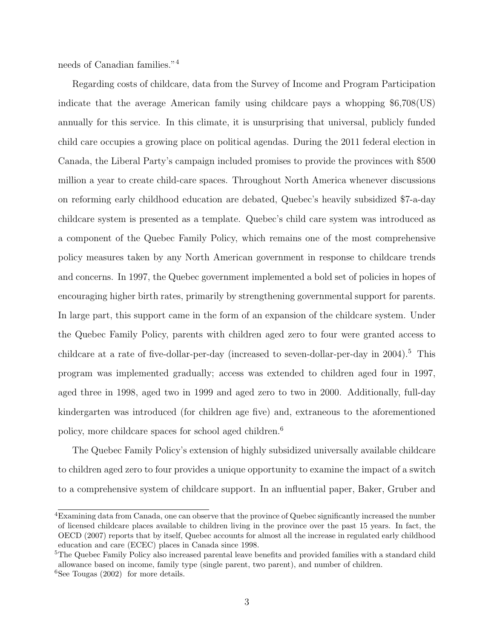needs of Canadian families."[4](#page--1-0)

Regarding costs of childcare, data from the Survey of Income and Program Participation indicate that the average American family using childcare pays a whopping \$6,708(US) annually for this service. In this climate, it is unsurprising that universal, publicly funded child care occupies a growing place on political agendas. During the 2011 federal election in Canada, the Liberal Party's campaign included promises to provide the provinces with \$500 million a year to create child-care spaces. Throughout North America whenever discussions on reforming early childhood education are debated, Quebec's heavily subsidized \$7-a-day childcare system is presented as a template. Quebec's child care system was introduced as a component of the Quebec Family Policy, which remains one of the most comprehensive policy measures taken by any North American government in response to childcare trends and concerns. In 1997, the Quebec government implemented a bold set of policies in hopes of encouraging higher birth rates, primarily by strengthening governmental support for parents. In large part, this support came in the form of an expansion of the childcare system. Under the Quebec Family Policy, parents with children aged zero to four were granted access to childcare at a rate of five-dollar-per-day (increased to seven-dollar-per-day in 2004).<sup>[5](#page--1-0)</sup> This program was implemented gradually; access was extended to children aged four in 1997, aged three in 1998, aged two in 1999 and aged zero to two in 2000. Additionally, full-day kindergarten was introduced (for children age five) and, extraneous to the aforementioned policy, more childcare spaces for school aged children.[6](#page--1-0)

The Quebec Family Policy's extension of highly subsidized universally available childcare to children aged zero to four provides a unique opportunity to examine the impact of a switch to a comprehensive system of childcare support. In an influential paper, Baker, Gruber and

<sup>&</sup>lt;sup>4</sup>Examining data from Canada, one can observe that the province of Quebec significantly increased the number of licensed childcare places available to children living in the province over the past 15 years. In fact, the OECD (2007) reports that by itself, Quebec accounts for almost all the increase in regulated early childhood education and care (ECEC) places in Canada since 1998.

<sup>5</sup>The Quebec Family Policy also increased parental leave benefits and provided families with a standard child allowance based on income, family type (single parent, two parent), and number of children.  ${}^{6}$ See Tougas (2002) for more details.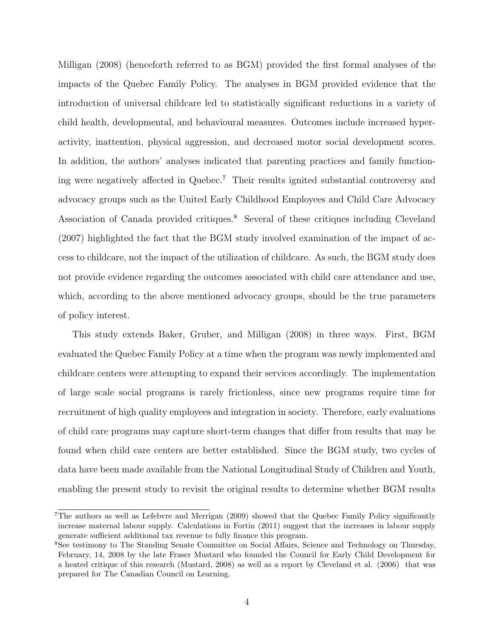Milligan (2008) (henceforth referred to as BGM) provided the first formal analyses of the impacts of the Quebec Family Policy. The analyses in BGM provided evidence that the introduction of universal childcare led to statistically significant reductions in a variety of child health, developmental, and behavioural measures. Outcomes include increased hyperactivity, inattention, physical aggression, and decreased motor social development scores. In addition, the authors' analyses indicated that parenting practices and family functioning were negatively affected in Quebec.[7](#page--1-0) Their results ignited substantial controversy and advocacy groups such as the United Early Childhood Employees and Child Care Advocacy Association of Canada provided critiques.<sup>[8](#page--1-0)</sup> Several of these critiques including Cleveland (2007) highlighted the fact that the BGM study involved examination of the impact of access to childcare, not the impact of the utilization of childcare. As such, the BGM study does not provide evidence regarding the outcomes associated with child care attendance and use, which, according to the above mentioned advocacy groups, should be the true parameters of policy interest.

This study extends Baker, Gruber, and Milligan (2008) in three ways. First, BGM evaluated the Quebec Family Policy at a time when the program was newly implemented and childcare centers were attempting to expand their services accordingly. The implementation of large scale social programs is rarely frictionless, since new programs require time for recruitment of high quality employees and integration in society. Therefore, early evaluations of child care programs may capture short-term changes that differ from results that may be found when child care centers are better established. Since the BGM study, two cycles of data have been made available from the National Longitudinal Study of Children and Youth, enabling the present study to revisit the original results to determine whether BGM results

<sup>7</sup>The authors as well as Lefebvre and Merrigan (2009) showed that the Quebec Family Policy significantly increase maternal labour supply. Calculations in Fortin (2011) suggest that the increases in labour supply generate sufficient additional tax revenue to fully finance this program.

<sup>8</sup>See testimony to The Standing Senate Committee on Social Affairs, Science and Technology on Thursday, February, 14, 2008 by the late Fraser Mustard who founded the Council for Early Child Development for a heated critique of this research (Mustard, 2008) as well as a report by Cleveland et al. (2006) that was prepared for The Canadian Council on Learning.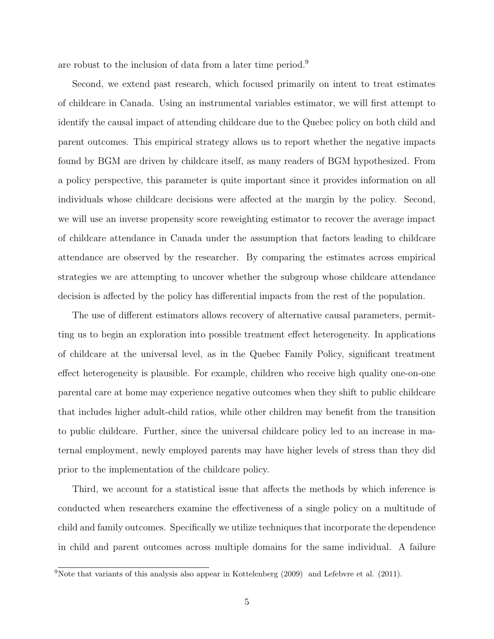are robust to the inclusion of data from a later time period.[9](#page--1-0)

Second, we extend past research, which focused primarily on intent to treat estimates of childcare in Canada. Using an instrumental variables estimator, we will first attempt to identify the causal impact of attending childcare due to the Quebec policy on both child and parent outcomes. This empirical strategy allows us to report whether the negative impacts found by BGM are driven by childcare itself, as many readers of BGM hypothesized. From a policy perspective, this parameter is quite important since it provides information on all individuals whose childcare decisions were affected at the margin by the policy. Second, we will use an inverse propensity score reweighting estimator to recover the average impact of childcare attendance in Canada under the assumption that factors leading to childcare attendance are observed by the researcher. By comparing the estimates across empirical strategies we are attempting to uncover whether the subgroup whose childcare attendance decision is affected by the policy has differential impacts from the rest of the population.

The use of different estimators allows recovery of alternative causal parameters, permitting us to begin an exploration into possible treatment effect heterogeneity. In applications of childcare at the universal level, as in the Quebec Family Policy, significant treatment effect heterogeneity is plausible. For example, children who receive high quality one-on-one parental care at home may experience negative outcomes when they shift to public childcare that includes higher adult-child ratios, while other children may benefit from the transition to public childcare. Further, since the universal childcare policy led to an increase in maternal employment, newly employed parents may have higher levels of stress than they did prior to the implementation of the childcare policy.

Third, we account for a statistical issue that affects the methods by which inference is conducted when researchers examine the effectiveness of a single policy on a multitude of child and family outcomes. Specifically we utilize techniques that incorporate the dependence in child and parent outcomes across multiple domains for the same individual. A failure

<sup>&</sup>lt;sup>9</sup>Note that variants of this analysis also appear in Kottelenberg  $(2009)$  and Lefebvre et al.  $(2011)$ .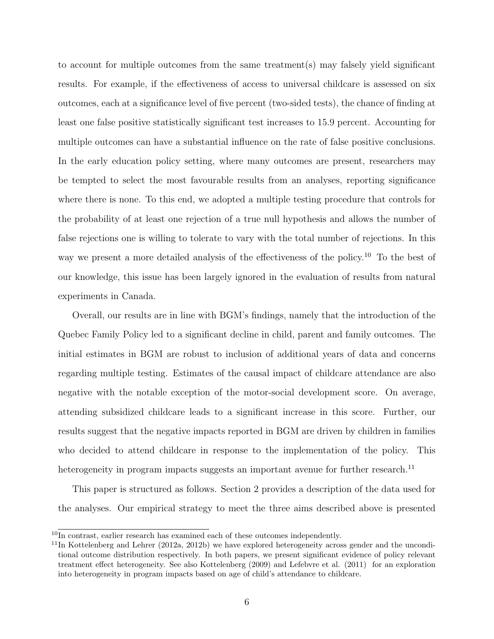to account for multiple outcomes from the same treatment(s) may falsely yield significant results. For example, if the effectiveness of access to universal childcare is assessed on six outcomes, each at a significance level of five percent (two-sided tests), the chance of finding at least one false positive statistically significant test increases to 15.9 percent. Accounting for multiple outcomes can have a substantial influence on the rate of false positive conclusions. In the early education policy setting, where many outcomes are present, researchers may be tempted to select the most favourable results from an analyses, reporting significance where there is none. To this end, we adopted a multiple testing procedure that controls for the probability of at least one rejection of a true null hypothesis and allows the number of false rejections one is willing to tolerate to vary with the total number of rejections. In this way we present a more detailed analysis of the effectiveness of the policy.<sup>[10](#page--1-0)</sup> To the best of our knowledge, this issue has been largely ignored in the evaluation of results from natural experiments in Canada.

Overall, our results are in line with BGM's findings, namely that the introduction of the Quebec Family Policy led to a significant decline in child, parent and family outcomes. The initial estimates in BGM are robust to inclusion of additional years of data and concerns regarding multiple testing. Estimates of the causal impact of childcare attendance are also negative with the notable exception of the motor-social development score. On average, attending subsidized childcare leads to a significant increase in this score. Further, our results suggest that the negative impacts reported in BGM are driven by children in families who decided to attend childcare in response to the implementation of the policy. This heterogeneity in program impacts suggests an important avenue for further research.<sup>[11](#page--1-0)</sup>

This paper is structured as follows. Section [2](#page-7-0) provides a description of the data used for the analyses. Our empirical strategy to meet the three aims described above is presented

 $10\overline{\ln}$  contrast, earlier research has examined each of these outcomes independently.

 $11$ In Kottelenberg and Lehrer (2012a, 2012b) we have explored heterogeneity across gender and the unconditional outcome distribution respectively. In both papers, we present significant evidence of policy relevant treatment effect heterogeneity. See also Kottelenberg (2009) and Lefebvre et al. (2011) for an exploration into heterogeneity in program impacts based on age of child's attendance to childcare.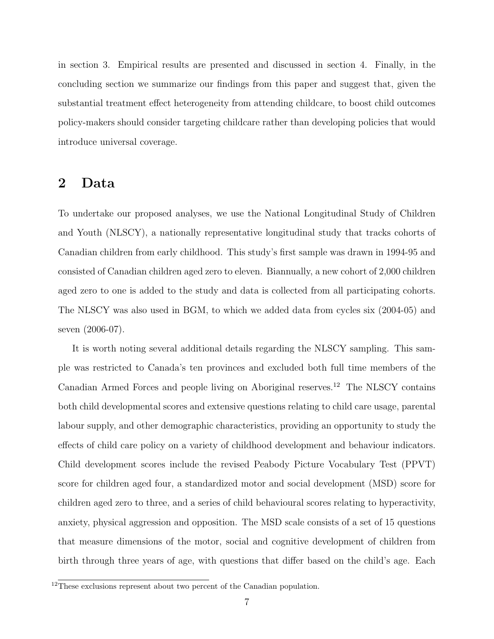in section [3.](#page-12-0) Empirical results are presented and discussed in section [4.](#page-17-0) Finally, in the concluding section we summarize our findings from this paper and suggest that, given the substantial treatment effect heterogeneity from attending childcare, to boost child outcomes policy-makers should consider targeting childcare rather than developing policies that would introduce universal coverage.

### <span id="page-7-0"></span>2 Data

To undertake our proposed analyses, we use the National Longitudinal Study of Children and Youth (NLSCY), a nationally representative longitudinal study that tracks cohorts of Canadian children from early childhood. This study's first sample was drawn in 1994-95 and consisted of Canadian children aged zero to eleven. Biannually, a new cohort of 2,000 children aged zero to one is added to the study and data is collected from all participating cohorts. The NLSCY was also used in BGM, to which we added data from cycles six (2004-05) and seven (2006-07).

It is worth noting several additional details regarding the NLSCY sampling. This sample was restricted to Canada's ten provinces and excluded both full time members of the Canadian Armed Forces and people living on Aboriginal reserves.[12](#page--1-0) The NLSCY contains both child developmental scores and extensive questions relating to child care usage, parental labour supply, and other demographic characteristics, providing an opportunity to study the effects of child care policy on a variety of childhood development and behaviour indicators. Child development scores include the revised Peabody Picture Vocabulary Test (PPVT) score for children aged four, a standardized motor and social development (MSD) score for children aged zero to three, and a series of child behavioural scores relating to hyperactivity, anxiety, physical aggression and opposition. The MSD scale consists of a set of 15 questions that measure dimensions of the motor, social and cognitive development of children from birth through three years of age, with questions that differ based on the child's age. Each

 $12$ <sup>12</sup>These exclusions represent about two percent of the Canadian population.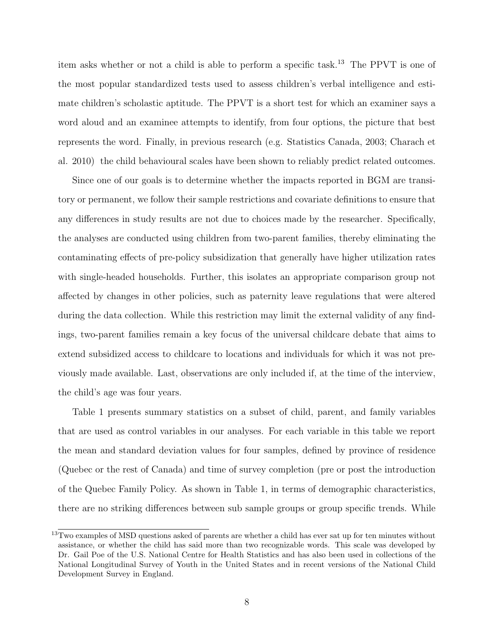item asks whether or not a child is able to perform a specific task.[13](#page--1-0) The PPVT is one of the most popular standardized tests used to assess children's verbal intelligence and estimate children's scholastic aptitude. The PPVT is a short test for which an examiner says a word aloud and an examinee attempts to identify, from four options, the picture that best represents the word. Finally, in previous research (e.g. Statistics Canada, 2003; Charach et al. 2010) the child behavioural scales have been shown to reliably predict related outcomes.

Since one of our goals is to determine whether the impacts reported in BGM are transitory or permanent, we follow their sample restrictions and covariate definitions to ensure that any differences in study results are not due to choices made by the researcher. Specifically, the analyses are conducted using children from two-parent families, thereby eliminating the contaminating effects of pre-policy subsidization that generally have higher utilization rates with single-headed households. Further, this isolates an appropriate comparison group not affected by changes in other policies, such as paternity leave regulations that were altered during the data collection. While this restriction may limit the external validity of any findings, two-parent families remain a key focus of the universal childcare debate that aims to extend subsidized access to childcare to locations and individuals for which it was not previously made available. Last, observations are only included if, at the time of the interview, the child's age was four years.

Table [1](#page-10-0) presents summary statistics on a subset of child, parent, and family variables that are used as control variables in our analyses. For each variable in this table we report the mean and standard deviation values for four samples, defined by province of residence (Quebec or the rest of Canada) and time of survey completion (pre or post the introduction of the Quebec Family Policy. As shown in Table [1,](#page-10-0) in terms of demographic characteristics, there are no striking differences between sub sample groups or group specific trends. While

 $13$ Two examples of MSD questions asked of parents are whether a child has ever sat up for ten minutes without assistance, or whether the child has said more than two recognizable words. This scale was developed by Dr. Gail Poe of the U.S. National Centre for Health Statistics and has also been used in collections of the National Longitudinal Survey of Youth in the United States and in recent versions of the National Child Development Survey in England.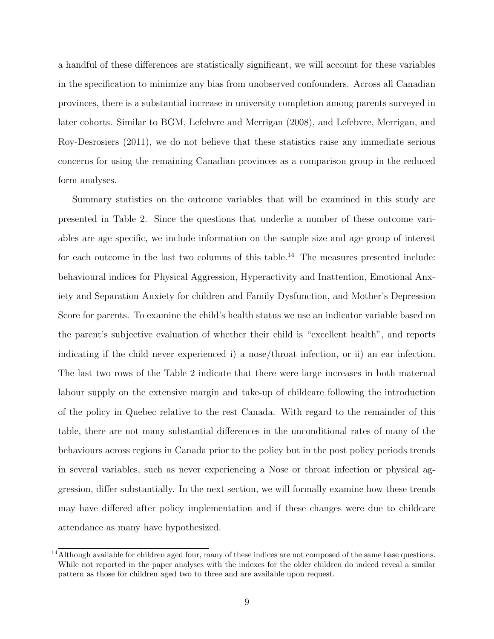a handful of these differences are statistically significant, we will account for these variables in the specification to minimize any bias from unobserved confounders. Across all Canadian provinces, there is a substantial increase in university completion among parents surveyed in later cohorts. Similar to BGM, Lefebvre and Merrigan (2008), and Lefebvre, Merrigan, and Roy-Desrosiers (2011), we do not believe that these statistics raise any immediate serious concerns for using the remaining Canadian provinces as a comparison group in the reduced form analyses.

Summary statistics on the outcome variables that will be examined in this study are presented in Table [2.](#page-11-0) Since the questions that underlie a number of these outcome variables are age specific, we include information on the sample size and age group of interest for each outcome in the last two columns of this table.<sup>[14](#page--1-0)</sup> The measures presented include: behavioural indices for Physical Aggression, Hyperactivity and Inattention, Emotional Anxiety and Separation Anxiety for children and Family Dysfunction, and Mother's Depression Score for parents. To examine the child's health status we use an indicator variable based on the parent's subjective evaluation of whether their child is "excellent health", and reports indicating if the child never experienced i) a nose/throat infection, or ii) an ear infection. The last two rows of the Table [2](#page-11-0) indicate that there were large increases in both maternal labour supply on the extensive margin and take-up of childcare following the introduction of the policy in Quebec relative to the rest Canada. With regard to the remainder of this table, there are not many substantial differences in the unconditional rates of many of the behaviours across regions in Canada prior to the policy but in the post policy periods trends in several variables, such as never experiencing a Nose or throat infection or physical aggression, differ substantially. In the next section, we will formally examine how these trends may have differed after policy implementation and if these changes were due to childcare attendance as many have hypothesized.

<sup>&</sup>lt;sup>14</sup>Although available for children aged four, many of these indices are not composed of the same base questions. While not reported in the paper analyses with the indexes for the older children do indeed reveal a similar pattern as those for children aged two to three and are available upon request.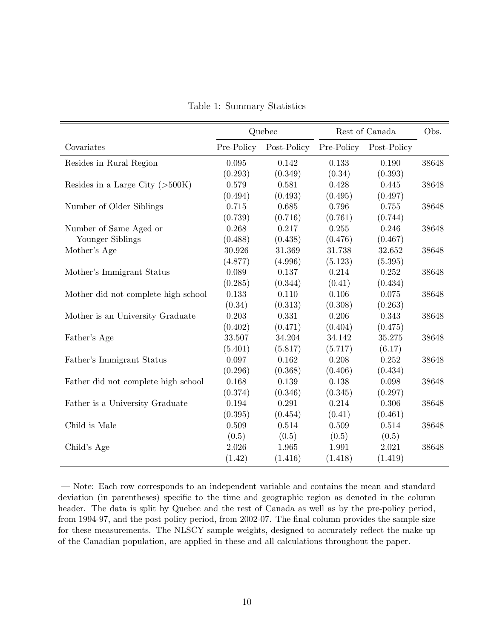<span id="page-10-0"></span>

|                                     | Quebec     |             | Rest of Canada |             | Obs.  |
|-------------------------------------|------------|-------------|----------------|-------------|-------|
| Covariates                          | Pre-Policy | Post-Policy | Pre-Policy     | Post-Policy |       |
| Resides in Rural Region             | 0.095      | 0.142       | 0.133          | 0.190       | 38648 |
|                                     | (0.293)    | (0.349)     | (0.34)         | (0.393)     |       |
| Resides in a Large City $(>500K)$   | 0.579      | 0.581       | 0.428          | 0.445       | 38648 |
|                                     | (0.494)    | (0.493)     | (0.495)        | (0.497)     |       |
| Number of Older Siblings            | 0.715      | 0.685       | 0.796          | 0.755       | 38648 |
|                                     | (0.739)    | (0.716)     | (0.761)        | (0.744)     |       |
| Number of Same Aged or              | 0.268      | 0.217       | $0.255\,$      | 0.246       | 38648 |
| Younger Siblings                    | (0.488)    | (0.438)     | (0.476)        | (0.467)     |       |
| Mother's Age                        | 30.926     | 31.369      | 31.738         | 32.652      | 38648 |
|                                     | (4.877)    | (4.996)     | (5.123)        | (5.395)     |       |
| Mother's Immigrant Status           | 0.089      | 0.137       | 0.214          | 0.252       | 38648 |
|                                     | (0.285)    | (0.344)     | (0.41)         | (0.434)     |       |
| Mother did not complete high school | 0.133      | 0.110       | $0.106\,$      | $0.075\,$   | 38648 |
|                                     | (0.34)     | (0.313)     | (0.308)        | (0.263)     |       |
| Mother is an University Graduate    | 0.203      | 0.331       | 0.206          | 0.343       | 38648 |
|                                     | (0.402)    | (0.471)     | (0.404)        | (0.475)     |       |
| Father's Age                        | 33.507     | 34.204      | 34.142         | 35.275      | 38648 |
|                                     | (5.401)    | (5.817)     | (5.717)        | (6.17)      |       |
| Father's Immigrant Status           | 0.097      | 0.162       | 0.208          | 0.252       | 38648 |
|                                     | (0.296)    | (0.368)     | (0.406)        | (0.434)     |       |
| Father did not complete high school | 0.168      | 0.139       | 0.138          | 0.098       | 38648 |
|                                     | (0.374)    | (0.346)     | (0.345)        | (0.297)     |       |
| Father is a University Graduate     | 0.194      | 0.291       | 0.214          | 0.306       | 38648 |
|                                     | (0.395)    | (0.454)     | (0.41)         | (0.461)     |       |
| Child is Male                       | 0.509      | 0.514       | 0.509          | 0.514       | 38648 |
|                                     | (0.5)      | (0.5)       | (0.5)          | (0.5)       |       |
| Child's Age                         | 2.026      | 1.965       | 1.991          | 2.021       | 38648 |
|                                     | (1.42)     | (1.416)     | (1.418)        | (1.419)     |       |

Table 1: Summary Statistics

— Note: Each row corresponds to an independent variable and contains the mean and standard deviation (in parentheses) specific to the time and geographic region as denoted in the column header. The data is split by Quebec and the rest of Canada as well as by the pre-policy period, from 1994-97, and the post policy period, from 2002-07. The final column provides the sample size for these measurements. The NLSCY sample weights, designed to accurately reflect the make up of the Canadian population, are applied in these and all calculations throughout the paper.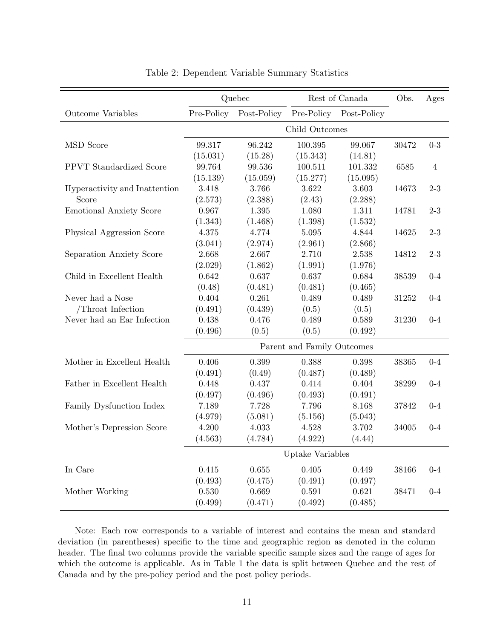<span id="page-11-0"></span>

|                                | Quebec                     |             | Rest of Canada |             | Obs.  | Ages           |
|--------------------------------|----------------------------|-------------|----------------|-------------|-------|----------------|
| <b>Outcome Variables</b>       | Pre-Policy                 | Post-Policy | Pre-Policy     | Post-Policy |       |                |
|                                | Child Outcomes             |             |                |             |       |                |
| <b>MSD</b> Score               | 99.317                     | 96.242      | 100.395        | 99.067      | 30472 | $0 - 3$        |
|                                | (15.031)                   | (15.28)     | (15.343)       | (14.81)     |       |                |
| PPVT Standardized Score        | 99.764                     | 99.536      | 100.511        | 101.332     | 6585  | $\overline{4}$ |
|                                | (15.139)                   | (15.059)    | (15.277)       | (15.095)    |       |                |
| Hyperactivity and Inattention  | 3.418                      | 3.766       | 3.622          | 3.603       | 14673 | $2 - 3$        |
| Score                          | (2.573)                    | (2.388)     | (2.43)         | (2.288)     |       |                |
| <b>Emotional Anxiety Score</b> | 0.967                      | 1.395       | 1.080          | 1.311       | 14781 | $2 - 3$        |
|                                | (1.343)                    | (1.468)     | (1.398)        | (1.532)     |       |                |
| Physical Aggression Score      | 4.375                      | 4.774       | 5.095          | 4.844       | 14625 | $2 - 3$        |
|                                | (3.041)                    | (2.974)     | (2.961)        | (2.866)     |       |                |
| Separation Anxiety Score       | 2.668                      | 2.667       | 2.710          | 2.538       | 14812 | $2 - 3$        |
|                                | (2.029)                    | (1.862)     | (1.991)        | (1.976)     |       |                |
| Child in Excellent Health      | 0.642                      | 0.637       | 0.637          | 0.684       | 38539 | $0 - 4$        |
|                                | (0.48)                     | (0.481)     | (0.481)        | (0.465)     |       |                |
| Never had a Nose               | 0.404                      | 0.261       | 0.489          | 0.489       | 31252 | $0 - 4$        |
| /Throat Infection              | (0.491)                    | (0.439)     | (0.5)          | (0.5)       |       |                |
| Never had an Ear Infection     | 0.438                      | 0.476       | 0.489          | 0.589       | 31230 | $0 - 4$        |
|                                | (0.496)                    | (0.5)       | (0.5)          | (0.492)     |       |                |
|                                | Parent and Family Outcomes |             |                |             |       |                |
| Mother in Excellent Health     | 0.406                      | 0.399       | 0.388          | 0.398       | 38365 | $0 - 4$        |
|                                | (0.491)                    | (0.49)      | (0.487)        | (0.489)     |       |                |
| Father in Excellent Health     | 0.448                      | 0.437       | 0.414          | 0.404       | 38299 | $0 - 4$        |
|                                | (0.497)                    | (0.496)     | (0.493)        | (0.491)     |       |                |
| Family Dysfunction Index       | 7.189                      | 7.728       | 7.796          | 8.168       | 37842 | $0 - 4$        |
|                                | (4.979)                    | (5.081)     | (5.156)        | (5.043)     |       |                |
| Mother's Depression Score      | 4.200                      | 4.033       | 4.528          | 3.702       | 34005 | $0 - 4$        |
|                                | (4.563)                    | (4.784)     | (4.922)        | (4.44)      |       |                |
|                                | Uptake Variables           |             |                |             |       |                |
| In Care                        | 0.415                      | 0.655       | $0.405\,$      | 0.449       | 38166 | $0 - 4$        |
|                                | (0.493)                    | (0.475)     | (0.491)        | (0.497)     |       |                |
| Mother Working                 | 0.530                      | 0.669       | 0.591          | 0.621       | 38471 | $0 - 4$        |
|                                | (0.499)                    | (0.471)     | (0.492)        | (0.485)     |       |                |
|                                |                            |             |                |             |       |                |

| Table 2: Dependent Variable Summary Statistics |  |  |  |  |
|------------------------------------------------|--|--|--|--|
|------------------------------------------------|--|--|--|--|

— Note: Each row corresponds to a variable of interest and contains the mean and standard deviation (in parentheses) specific to the time and geographic region as denoted in the column header. The final two columns provide the variable specific sample sizes and the range of ages for which the outcome is applicable. As in Table 1 the data is split between Quebec and the rest of Canada and by the pre-policy period and the post policy periods.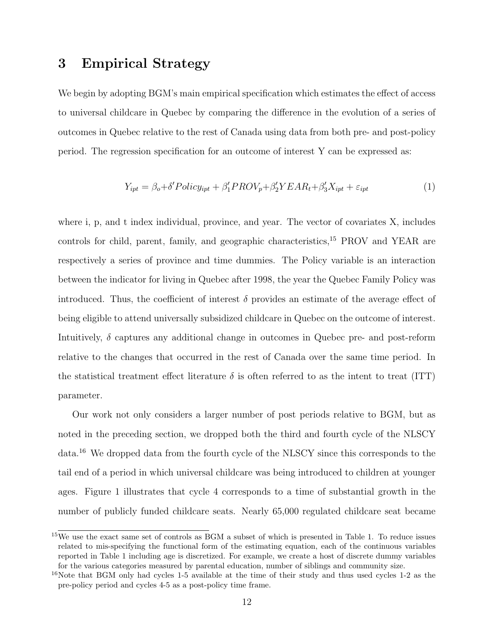### <span id="page-12-0"></span>3 Empirical Strategy

We begin by adopting BGM's main empirical specification which estimates the effect of access to universal childcare in Quebec by comparing the difference in the evolution of a series of outcomes in Quebec relative to the rest of Canada using data from both pre- and post-policy period. The regression specification for an outcome of interest Y can be expressed as:

<span id="page-12-1"></span>
$$
Y_{ipt} = \beta_o + \delta' Policy_{ipt} + \beta'_1 PROV_p + \beta'_2 YEAR_t + \beta'_3 X_{ipt} + \varepsilon_{ipt}
$$
\n(1)

where i, p, and t index individual, province, and year. The vector of covariates X, includes controls for child, parent, family, and geographic characteristics,<sup>[15](#page--1-0)</sup> PROV and YEAR are respectively a series of province and time dummies. The Policy variable is an interaction between the indicator for living in Quebec after 1998, the year the Quebec Family Policy was introduced. Thus, the coefficient of interest  $\delta$  provides an estimate of the average effect of being eligible to attend universally subsidized childcare in Quebec on the outcome of interest. Intuitively,  $\delta$  captures any additional change in outcomes in Quebec pre- and post-reform relative to the changes that occurred in the rest of Canada over the same time period. In the statistical treatment effect literature  $\delta$  is often referred to as the intent to treat (ITT) parameter.

Our work not only considers a larger number of post periods relative to BGM, but as noted in the preceding section, we dropped both the third and fourth cycle of the NLSCY data.[16](#page--1-0) We dropped data from the fourth cycle of the NLSCY since this corresponds to the tail end of a period in which universal childcare was being introduced to children at younger ages. Figure [1](#page-14-0) illustrates that cycle 4 corresponds to a time of substantial growth in the number of publicly funded childcare seats. Nearly 65,000 regulated childcare seat became

<sup>&</sup>lt;sup>15</sup>We use the exact same set of controls as BGM a subset of which is presented in Table [1.](#page-10-0) To reduce issues related to mis-specifying the functional form of the estimating equation, each of the continuous variables reported in Table [1](#page-10-0) including age is discretized. For example, we create a host of discrete dummy variables for the various categories measured by parental education, number of siblings and community size.

<sup>&</sup>lt;sup>16</sup>Note that BGM only had cycles 1-5 available at the time of their study and thus used cycles 1-2 as the pre-policy period and cycles 4-5 as a post-policy time frame.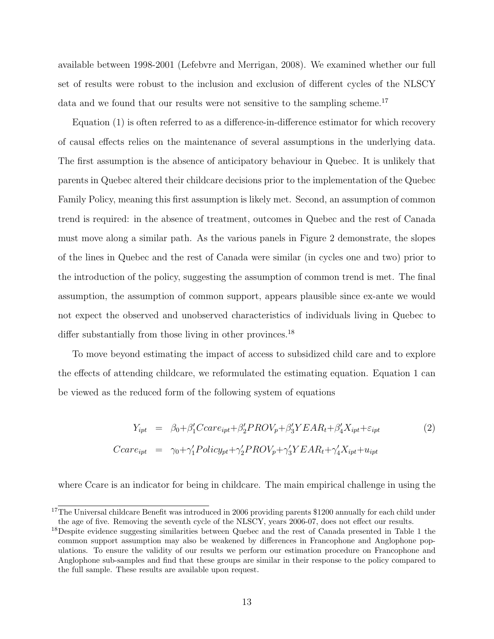available between 1998-2001 (Lefebvre and Merrigan, 2008). We examined whether our full set of results were robust to the inclusion and exclusion of different cycles of the NLSCY data and we found that our results were not sensitive to the sampling scheme.<sup>[17](#page--1-0)</sup>

Equation [\(1\)](#page-12-1) is often referred to as a difference-in-difference estimator for which recovery of causal effects relies on the maintenance of several assumptions in the underlying data. The first assumption is the absence of anticipatory behaviour in Quebec. It is unlikely that parents in Quebec altered their childcare decisions prior to the implementation of the Quebec Family Policy, meaning this first assumption is likely met. Second, an assumption of common trend is required: in the absence of treatment, outcomes in Quebec and the rest of Canada must move along a similar path. As the various panels in Figure [2](#page-14-1) demonstrate, the slopes of the lines in Quebec and the rest of Canada were similar (in cycles one and two) prior to the introduction of the policy, suggesting the assumption of common trend is met. The final assumption, the assumption of common support, appears plausible since ex-ante we would not expect the observed and unobserved characteristics of individuals living in Quebec to differ substantially from those living in other provinces.<sup>[18](#page--1-0)</sup>

To move beyond estimating the impact of access to subsidized child care and to explore the effects of attending childcare, we reformulated the estimating equation. Equation [1](#page-12-1) can be viewed as the reduced form of the following system of equations

<span id="page-13-0"></span>
$$
Y_{ipt} = \beta_0 + \beta_1'Ccare_{ipt} + \beta_2'PROV_p + \beta_3'YEAR_t + \beta_4'X_{ipt} + \varepsilon_{ipt}
$$
  
\n
$$
Ccare_{ipt} = \gamma_0 + \gamma_1'Policy_{pt} + \gamma_2'PROV_p + \gamma_3'YEAR_t + \gamma_4'X_{ipt} + u_{ipt}
$$
\n(2)

where Ccare is an indicator for being in childcare. The main empirical challenge in using the

<sup>&</sup>lt;sup>17</sup>The Universal childcare Benefit was introduced in 2006 providing parents \$1200 annually for each child under the age of five. Removing the seventh cycle of the NLSCY, years 2006-07, does not effect our results.

<sup>&</sup>lt;sup>18</sup>Despite evidence suggesting similarities between Quebec and the rest of Canada presented in Table [1](#page-10-0) the common support assumption may also be weakened by differences in Francophone and Anglophone populations. To ensure the validity of our results we perform our estimation procedure on Francophone and Anglophone sub-samples and find that these groups are similar in their response to the policy compared to the full sample. These results are available upon request.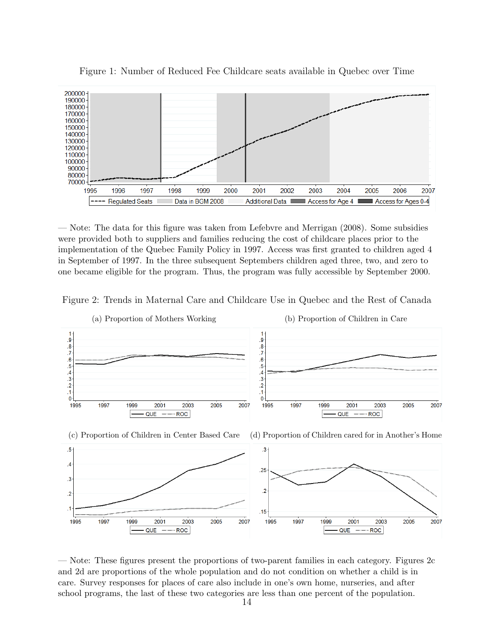

<span id="page-14-0"></span>Figure 1: Number of Reduced Fee Childcare seats available in Quebec over Time

— Note: The data for this figure was taken from Lefebvre and Merrigan (2008). Some subsidies were provided both to suppliers and families reducing the cost of childcare places prior to the implementation of the Quebec Family Policy in 1997. Access was first granted to children aged 4 in September of 1997. In the three subsequent Septembers children aged three, two, and zero to one became eligible for the program. Thus, the program was fully accessible by September 2000.





<span id="page-14-2"></span><span id="page-14-1"></span>— Note: These figures present the proportions of two-parent families in each category. Figures [2c](#page-14-2) and [2d](#page-14-1) are proportions of the whole population and do not condition on whether a child is in care. Survey responses for places of care also include in one's own home, nurseries, and after school programs, the last of these two categories are less than one percent of the population.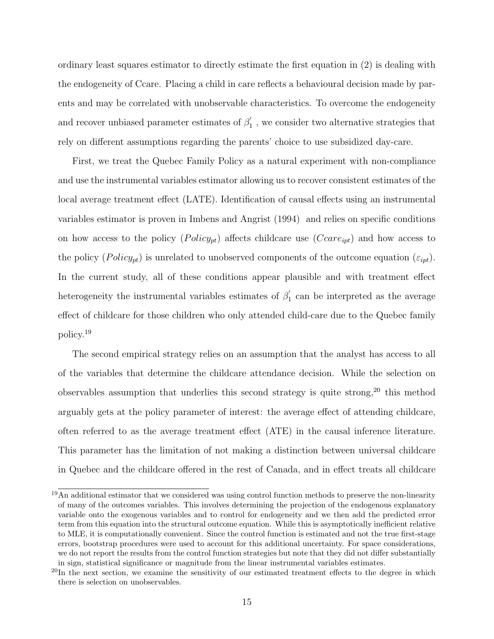ordinary least squares estimator to directly estimate the first equation in [\(2\)](#page-13-0) is dealing with the endogeneity of Ccare. Placing a child in care reflects a behavioural decision made by parents and may be correlated with unobservable characteristics. To overcome the endogeneity and recover unbiased parameter estimates of  $\beta_1'$  $y'_1$ , we consider two alternative strategies that rely on different assumptions regarding the parents' choice to use subsidized day-care.

First, we treat the Quebec Family Policy as a natural experiment with non-compliance and use the instrumental variables estimator allowing us to recover consistent estimates of the local average treatment effect (LATE). Identification of causal effects using an instrumental variables estimator is proven in Imbens and Angrist (1994) and relies on specific conditions on how access to the policy  $(Policy_{pt})$  affects childcare use  $(Ccare_{ipt})$  and how access to the policy  $(Policy_{pt})$  is unrelated to unobserved components of the outcome equation  $(\varepsilon_{ipt})$ . In the current study, all of these conditions appear plausible and with treatment effect heterogeneity the instrumental variables estimates of  $\beta_1$  $i_1$  can be interpreted as the average effect of childcare for those children who only attended child-care due to the Quebec family policy.[19](#page--1-0)

The second empirical strategy relies on an assumption that the analyst has access to all of the variables that determine the childcare attendance decision. While the selection on observables assumption that underlies this second strategy is quite strong,  $20$  this method arguably gets at the policy parameter of interest: the average effect of attending childcare, often referred to as the average treatment effect (ATE) in the causal inference literature. This parameter has the limitation of not making a distinction between universal childcare in Quebec and the childcare offered in the rest of Canada, and in effect treats all childcare

 $19\overline{\text{An additional estimator}}$  that we considered was using control function methods to preserve the non-linearity of many of the outcomes variables. This involves determining the projection of the endogenous explanatory variable onto the exogenous variables and to control for endogeneity and we then add the predicted error term from this equation into the structural outcome equation. While this is asymptotically inefficient relative to MLE, it is computationally convenient. Since the control function is estimated and not the true first-stage errors, bootstrap procedures were used to account for this additional uncertainty. For space considerations, we do not report the results from the control function strategies but note that they did not differ substantially in sign, statistical significance or magnitude from the linear instrumental variables estimates.

 $^{20}$ In the next section, we examine the sensitivity of our estimated treatment effects to the degree in which there is selection on unobservables.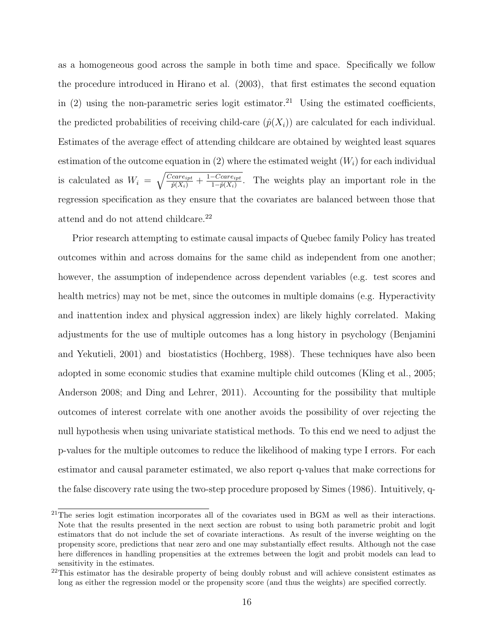as a homogeneous good across the sample in both time and space. Specifically we follow the procedure introduced in Hirano et al. (2003), that first estimates the second equation in [\(2\)](#page-13-0) using the non-parametric series logit estimator.<sup>[21](#page--1-0)</sup> Using the estimated coefficients, the predicted probabilities of receiving child-care  $(\hat{p}(X_i))$  are calculated for each individual. Estimates of the average effect of attending childcare are obtained by weighted least squares estimation of the outcome equation in  $(2)$  where the estimated weight  $(W_i)$  for each individual is calculated as  $W_i = \sqrt{\frac{Ccare_{ipt}}{\hat{p}(X_i)} + \frac{1-Ccare_{ipt}}{1-\hat{p}(X_i)}}$  $\frac{-C \text{care}_{ipt}}{1-\hat{p}(X_i)}$ . The weights play an important role in the regression specification as they ensure that the covariates are balanced between those that attend and do not attend childcare.<sup>[22](#page--1-0)</sup>

Prior research attempting to estimate causal impacts of Quebec family Policy has treated outcomes within and across domains for the same child as independent from one another; however, the assumption of independence across dependent variables (e.g. test scores and health metrics) may not be met, since the outcomes in multiple domains (e.g. Hyperactivity and inattention index and physical aggression index) are likely highly correlated. Making adjustments for the use of multiple outcomes has a long history in psychology (Benjamini and Yekutieli, 2001) and biostatistics (Hochberg, 1988). These techniques have also been adopted in some economic studies that examine multiple child outcomes (Kling et al., 2005; Anderson 2008; and Ding and Lehrer, 2011). Accounting for the possibility that multiple outcomes of interest correlate with one another avoids the possibility of over rejecting the null hypothesis when using univariate statistical methods. To this end we need to adjust the p-values for the multiple outcomes to reduce the likelihood of making type I errors. For each estimator and causal parameter estimated, we also report q-values that make corrections for the false discovery rate using the two-step procedure proposed by Simes (1986). Intuitively, q-

<sup>&</sup>lt;sup>21</sup>The series logit estimation incorporates all of the covariates used in BGM as well as their interactions. Note that the results presented in the next section are robust to using both parametric probit and logit estimators that do not include the set of covariate interactions. As result of the inverse weighting on the propensity score, predictions that near zero and one may substantially effect results. Although not the case here differences in handling propensities at the extremes between the logit and probit models can lead to sensitivity in the estimates.

<sup>&</sup>lt;sup>22</sup>This estimator has the desirable property of being doubly robust and will achieve consistent estimates as long as either the regression model or the propensity score (and thus the weights) are specified correctly.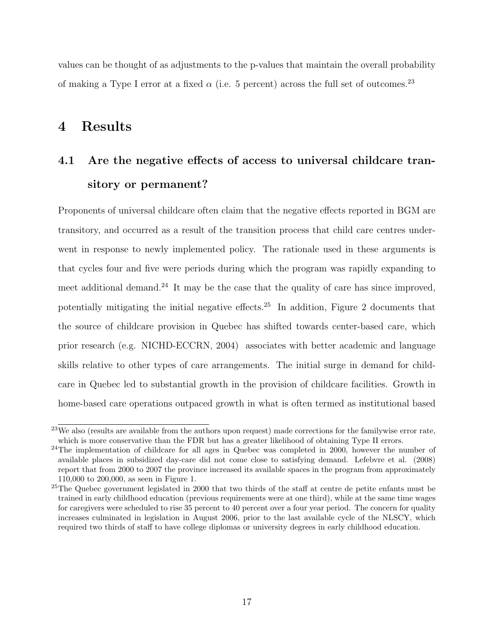values can be thought of as adjustments to the p-values that maintain the overall probability of making a Type I error at a fixed  $\alpha$  (i.e. 5 percent) across the full set of outcomes.<sup>[23](#page--1-0)</sup>

### <span id="page-17-0"></span>4 Results

# 4.1 Are the negative effects of access to universal childcare transitory or permanent?

Proponents of universal childcare often claim that the negative effects reported in BGM are transitory, and occurred as a result of the transition process that child care centres underwent in response to newly implemented policy. The rationale used in these arguments is that cycles four and five were periods during which the program was rapidly expanding to meet additional demand.<sup>[24](#page--1-0)</sup> It may be the case that the quality of care has since improved, potentially mitigating the initial negative effects.[25](#page--1-0) In addition, Figure [2](#page-14-1) documents that the source of childcare provision in Quebec has shifted towards center-based care, which prior research (e.g. NICHD-ECCRN, 2004) associates with better academic and language skills relative to other types of care arrangements. The initial surge in demand for childcare in Quebec led to substantial growth in the provision of childcare facilities. Growth in home-based care operations outpaced growth in what is often termed as institutional based

<sup>&</sup>lt;sup>23</sup>We also (results are available from the authors upon request) made corrections for the familywise error rate, which is more conservative than the FDR but has a greater likelihood of obtaining Type II errors.

<sup>&</sup>lt;sup>24</sup>The implementation of childcare for all ages in Quebec was completed in 2000, however the number of available places in subsidized day-care did not come close to satisfying demand. Lefebvre et al. (2008) report that from 2000 to 2007 the province increased its available spaces in the program from approximately 110,000 to 200,000, as seen in Figure [1.](#page-14-0)

<sup>&</sup>lt;sup>25</sup>The Quebec government legislated in 2000 that two thirds of the staff at centre de petite enfants must be trained in early childhood education (previous requirements were at one third), while at the same time wages for caregivers were scheduled to rise 35 percent to 40 percent over a four year period. The concern for quality increases culminated in legislation in August 2006, prior to the last available cycle of the NLSCY, which required two thirds of staff to have college diplomas or university degrees in early childhood education.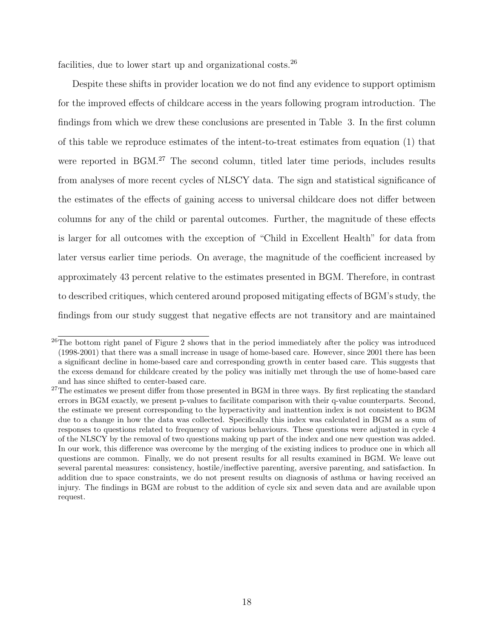facilities, due to lower start up and organizational costs.<sup>[26](#page--1-0)</sup>

Despite these shifts in provider location we do not find any evidence to support optimism for the improved effects of childcare access in the years following program introduction. The findings from which we drew these conclusions are presented in Table [3.](#page-20-0) In the first column of this table we reproduce estimates of the intent-to-treat estimates from equation [\(1\)](#page-12-1) that were reported in BGM.<sup>[27](#page--1-0)</sup> The second column, titled later time periods, includes results from analyses of more recent cycles of NLSCY data. The sign and statistical significance of the estimates of the effects of gaining access to universal childcare does not differ between columns for any of the child or parental outcomes. Further, the magnitude of these effects is larger for all outcomes with the exception of "Child in Excellent Health" for data from later versus earlier time periods. On average, the magnitude of the coefficient increased by approximately 43 percent relative to the estimates presented in BGM. Therefore, in contrast to described critiques, which centered around proposed mitigating effects of BGM's study, the findings from our study suggest that negative effects are not transitory and are maintained

 $^{26}$ The bottom right panel of Figure [2](#page-14-1) shows that in the period immediately after the policy was introduced (1998-2001) that there was a small increase in usage of home-based care. However, since 2001 there has been a significant decline in home-based care and corresponding growth in center based care. This suggests that the excess demand for childcare created by the policy was initially met through the use of home-based care and has since shifted to center-based care.

 $27$ The estimates we present differ from those presented in BGM in three ways. By first replicating the standard errors in BGM exactly, we present p-values to facilitate comparison with their q-value counterparts. Second, the estimate we present corresponding to the hyperactivity and inattention index is not consistent to BGM due to a change in how the data was collected. Specifically this index was calculated in BGM as a sum of responses to questions related to frequency of various behaviours. These questions were adjusted in cycle 4 of the NLSCY by the removal of two questions making up part of the index and one new question was added. In our work, this difference was overcome by the merging of the existing indices to produce one in which all questions are common. Finally, we do not present results for all results examined in BGM. We leave out several parental measures: consistency, hostile/ineffective parenting, aversive parenting, and satisfaction. In addition due to space constraints, we do not present results on diagnosis of asthma or having received an injury. The findings in BGM are robust to the addition of cycle six and seven data and are available upon request.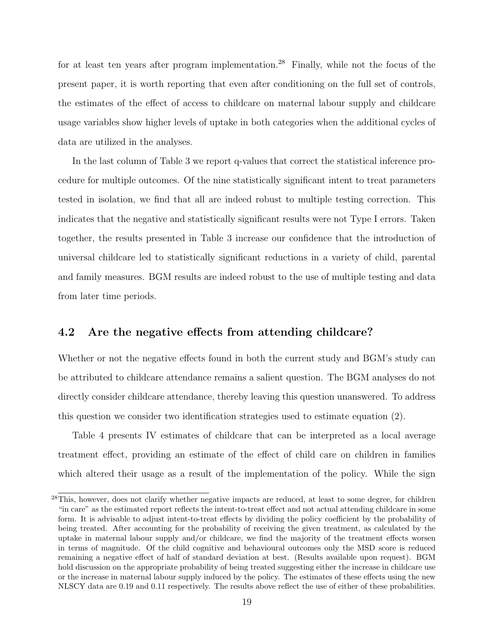for at least ten years after program implementation.<sup>[28](#page--1-0)</sup> Finally, while not the focus of the present paper, it is worth reporting that even after conditioning on the full set of controls, the estimates of the effect of access to childcare on maternal labour supply and childcare usage variables show higher levels of uptake in both categories when the additional cycles of data are utilized in the analyses.

In the last column of Table [3](#page-20-0) we report q-values that correct the statistical inference procedure for multiple outcomes. Of the nine statistically significant intent to treat parameters tested in isolation, we find that all are indeed robust to multiple testing correction. This indicates that the negative and statistically significant results were not Type I errors. Taken together, the results presented in Table [3](#page-20-0) increase our confidence that the introduction of universal childcare led to statistically significant reductions in a variety of child, parental and family measures. BGM results are indeed robust to the use of multiple testing and data from later time periods.

#### 4.2 Are the negative effects from attending childcare?

Whether or not the negative effects found in both the current study and BGM's study can be attributed to childcare attendance remains a salient question. The BGM analyses do not directly consider childcare attendance, thereby leaving this question unanswered. To address this question we consider two identification strategies used to estimate equation [\(2\)](#page-13-0).

Table [4](#page-21-0) presents IV estimates of childcare that can be interpreted as a local average treatment effect, providing an estimate of the effect of child care on children in families which altered their usage as a result of the implementation of the policy. While the sign

<sup>&</sup>lt;sup>28</sup>This, however, does not clarify whether negative impacts are reduced, at least to some degree, for children "in care" as the estimated report reflects the intent-to-treat effect and not actual attending childcare in some form. It is advisable to adjust intent-to-treat effects by dividing the policy coefficient by the probability of being treated. After accounting for the probability of receiving the given treatment, as calculated by the uptake in maternal labour supply and/or childcare, we find the majority of the treatment effects worsen in terms of magnitude. Of the child cognitive and behavioural outcomes only the MSD score is reduced remaining a negative effect of half of standard deviation at best. (Results available upon request). BGM hold discussion on the appropriate probability of being treated suggesting either the increase in childcare use or the increase in maternal labour supply induced by the policy. The estimates of these effects using the new NLSCY data are 0.19 and 0.11 respectively. The results above reflect the use of either of these probabilities.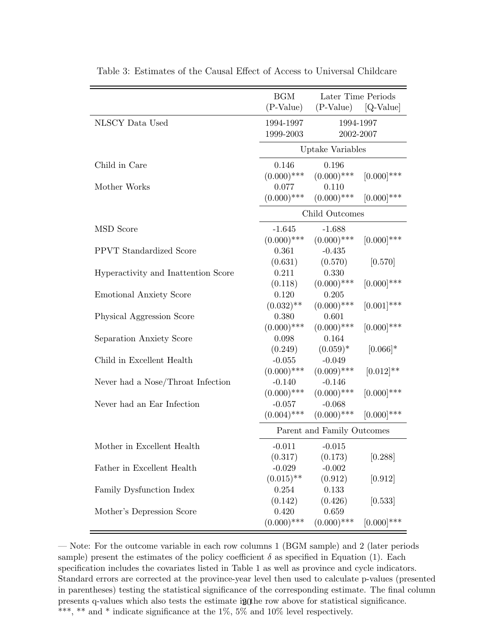|                                     | <b>BGM</b><br>Later Time Periods |                           |               |
|-------------------------------------|----------------------------------|---------------------------|---------------|
|                                     | $(P-Value)$                      | (P-Value)                 | $[Q-Value]$   |
| NLSCY Data Used                     | 1994-1997                        | 1994-1997                 |               |
|                                     | 1999-2003                        | 2002-2007                 |               |
|                                     |                                  | Uptake Variables          |               |
| Child in Care                       | 0.146                            | 0.196                     |               |
|                                     | $(0.000)$ ***                    | $(0.000)$ ***             | $[0.000]$ *** |
| Mother Works                        | 0.077                            | 0.110                     |               |
|                                     | $(0.000)$ ***                    | $(0.000)$ ***             | $[0.000]$ *** |
|                                     |                                  | Child Outcomes            |               |
| <b>MSD</b> Score                    | $-1.645$                         | $-1.688$                  |               |
|                                     | $(0.000)$ ***                    | $(0.000)$ ***             | $[0.000]$ *** |
| <b>PPVT</b> Standardized Score      | 0.361                            | $-0.435$                  |               |
|                                     | (0.631)                          | (0.570)                   | [0.570]       |
| Hyperactivity and Inattention Score | 0.211                            | 0.330                     |               |
|                                     | (0.118)                          | $(0.000)$ ***             | $[0.000]$ *** |
| <b>Emotional Anxiety Score</b>      | 0.120                            | 0.205                     |               |
|                                     | $(0.032)$ **                     | $(0.000)$ ***             | $[0.001]$ *** |
| Physical Aggression Score           | 0.380                            | 0.601                     |               |
|                                     | $(0.000)$ ***                    | $(0.000)$ ***             | $[0.000]$ *** |
| Separation Anxiety Score            | 0.098                            | 0.164                     |               |
|                                     | (0.249)                          | $(0.059)*$                | $[0.066]$ *   |
| Child in Excellent Health           | $-0.055$                         | $-0.049$                  |               |
|                                     | $(0.000)$ ***                    | $(0.009)$ ***             | $[0.012]$ **  |
| Never had a Nose/Throat Infection   | $-0.140$                         | $-0.146$                  |               |
| Never had an Ear Infection          | $(0.000)$ ***                    | $(0.000)$ ***             | $[0.000]$ *** |
|                                     | $-0.057$                         | $-0.068$<br>$(0.000)$ *** | $[0.000]$ *** |
|                                     | $(0.004)$ ***                    |                           |               |
|                                     | Parent and Family Outcomes       |                           |               |
| Mother in Excellent Health          | $-0.011$                         | $-0.015$                  |               |
|                                     | (0.317)                          | (0.173)                   | [0.288]       |
| Father in Excellent Health          | $-0.029$                         | $-0.002$                  |               |
|                                     | $(0.015)$ **                     | (0.912)                   | [0.912]       |
| Family Dysfunction Index            | 0.254                            | 0.133                     |               |
|                                     | (0.142)                          | (0.426)                   | [0.533]       |
| Mother's Depression Score           | 0.420                            | 0.659                     |               |
|                                     | $(0.000)$ ***                    | $(0.000)$ ***             | $[0.000]$ *** |

<span id="page-20-0"></span>Table 3: Estimates of the Causal Effect of Access to Universal Childcare

— Note: For the outcome variable in each row columns 1 (BGM sample) and 2 (later periods sample) present the estimates of the policy coefficient  $\delta$  as specified in Equation [\(1\)](#page-12-1). Each specification includes the covariates listed in Table [1](#page-10-0) as well as province and cycle indicators. Standard errors are corrected at the province-year level then used to calculate p-values (presented in parentheses) testing the statistical significance of the corresponding estimate. The final column presents q-values which also tests the estimate  $ig($ the row above for statistical significance.  $^{***},$   $^{**}$  and  $^{*}$  indicate significance at the 1%, 5% and 10% level respectively.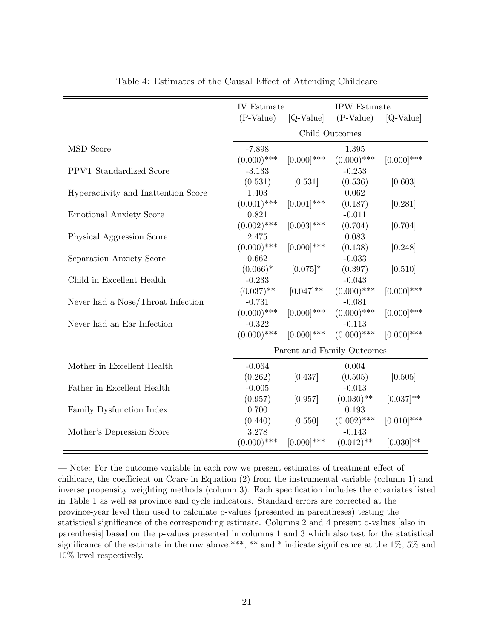<span id="page-21-0"></span>

|                                     | IV Estimate                |                | <b>IPW</b> Estimate |                |
|-------------------------------------|----------------------------|----------------|---------------------|----------------|
|                                     | $(P-Value)$                | [Q-Value]      | $(P-Value)$         | [Q-Value]      |
|                                     | Child Outcomes             |                |                     |                |
| <b>MSD</b> Score                    | $-7.898$                   |                | 1.395               |                |
|                                     | $(0.000)$ ***              | $[0.000]$ ***  | $(0.000)$ ***       | $[0.000]$ ***  |
| <b>PPVT</b> Standardized Score      | $-3.133$                   |                | $-0.253$            |                |
|                                     | (0.531)                    | [0.531]        | (0.536)             | [0.603]        |
| Hyperactivity and Inattention Score | 1.403                      |                | 0.062               |                |
|                                     | $(0.001)$ ***              | $[0.001]$ ***  | (0.187)             | [0.281]        |
| <b>Emotional Anxiety Score</b>      | 0.821                      |                | $-0.011$            |                |
|                                     | $(0.002)$ ***              | $[0.003]$ ***  | (0.704)             | [0.704]        |
| Physical Aggression Score           | 2.475                      |                | 0.083               |                |
|                                     | $(0.000)$ ***              | $[0.000]$ ***  | (0.138)             | [0.248]        |
| Separation Anxiety Score            | 0.662                      |                | $-0.033$            |                |
|                                     | $(0.066)^*$                | $[0.075]$ *    | (0.397)             | [0.510]        |
| Child in Excellent Health           | $-0.233$                   |                | $-0.043$            |                |
|                                     | $(0.037)$ **               | $[0.047]^{**}$ | $(0.000)$ ***       | $[0.000]$ ***  |
| Never had a Nose/Throat Infection   | $-0.731$                   |                | $-0.081$            |                |
|                                     | $(0.000)$ ***              | $[0.000]$ ***  | $(0.000)$ ***       | $[0.000]$ ***  |
| Never had an Ear Infection          | $-0.322$                   |                | $-0.113$            |                |
|                                     | $(0.000)$ ***              | $[0.000]$ ***  | $(0.000)$ ***       | $[0.000]$ ***  |
|                                     | Parent and Family Outcomes |                |                     |                |
| Mother in Excellent Health          | $-0.064$                   |                | 0.004               |                |
|                                     | (0.262)                    | [0.437]        | (0.505)             | [0.505]        |
| Father in Excellent Health          | $-0.005$                   |                | $-0.013$            |                |
|                                     | (0.957)                    | [0.957]        | $(0.030)$ **        | $[0.037]^{**}$ |
| Family Dysfunction Index            | 0.700                      |                | 0.193               |                |
|                                     | (0.440)                    | [0.550]        | $(0.002)$ ***       | $[0.010]$ ***  |
| Mother's Depression Score           | 3.278                      |                | $-0.143$            |                |
|                                     | $(0.000)$ ***              | $[0.000]$ ***  | $(0.012)$ **        | $[0.030]$ **   |

Table 4: Estimates of the Causal Effect of Attending Childcare

— Note: For the outcome variable in each row we present estimates of treatment effect of childcare, the coefficient on Ccare in Equation [\(2\)](#page-13-0) from the instrumental variable (column 1) and inverse propensity weighting methods (column 3). Each specification includes the covariates listed in Table [1](#page-10-0) as well as province and cycle indicators. Standard errors are corrected at the province-year level then used to calculate p-values (presented in parentheses) testing the statistical significance of the corresponding estimate. Columns 2 and 4 present q-values [also in parenthesis] based on the p-values presented in columns 1 and 3 which also test for the statistical significance of the estimate in the row above.\*\*\*, \*\* and \* indicate significance at the 1%, 5% and 10% level respectively.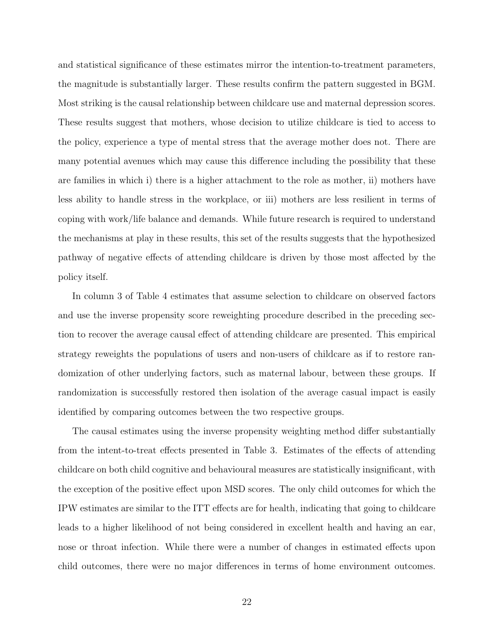and statistical significance of these estimates mirror the intention-to-treatment parameters, the magnitude is substantially larger. These results confirm the pattern suggested in BGM. Most striking is the causal relationship between childcare use and maternal depression scores. These results suggest that mothers, whose decision to utilize childcare is tied to access to the policy, experience a type of mental stress that the average mother does not. There are many potential avenues which may cause this difference including the possibility that these are families in which i) there is a higher attachment to the role as mother, ii) mothers have less ability to handle stress in the workplace, or iii) mothers are less resilient in terms of coping with work/life balance and demands. While future research is required to understand the mechanisms at play in these results, this set of the results suggests that the hypothesized pathway of negative effects of attending childcare is driven by those most affected by the policy itself.

In column 3 of Table [4](#page-21-0) estimates that assume selection to childcare on observed factors and use the inverse propensity score reweighting procedure described in the preceding section to recover the average causal effect of attending childcare are presented. This empirical strategy reweights the populations of users and non-users of childcare as if to restore randomization of other underlying factors, such as maternal labour, between these groups. If randomization is successfully restored then isolation of the average casual impact is easily identified by comparing outcomes between the two respective groups.

The causal estimates using the inverse propensity weighting method differ substantially from the intent-to-treat effects presented in Table [3.](#page-20-0) Estimates of the effects of attending childcare on both child cognitive and behavioural measures are statistically insignificant, with the exception of the positive effect upon MSD scores. The only child outcomes for which the IPW estimates are similar to the ITT effects are for health, indicating that going to childcare leads to a higher likelihood of not being considered in excellent health and having an ear, nose or throat infection. While there were a number of changes in estimated effects upon child outcomes, there were no major differences in terms of home environment outcomes.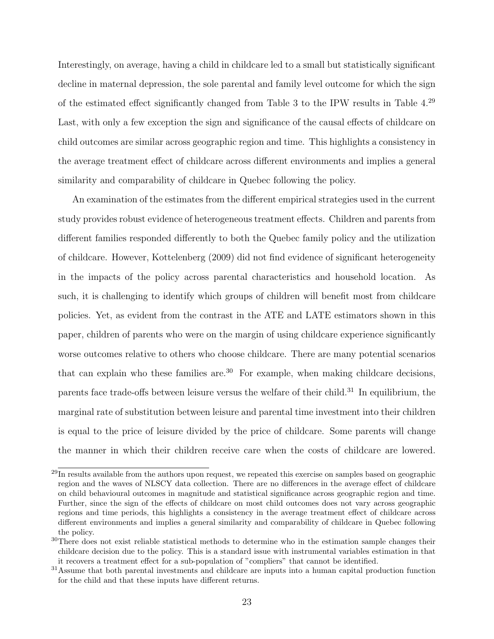Interestingly, on average, having a child in childcare led to a small but statistically significant decline in maternal depression, the sole parental and family level outcome for which the sign of the estimated effect significantly changed from Table [3](#page-20-0) to the IPW results in Table [4.](#page-21-0)[29](#page--1-0) Last, with only a few exception the sign and significance of the causal effects of childcare on child outcomes are similar across geographic region and time. This highlights a consistency in the average treatment effect of childcare across different environments and implies a general similarity and comparability of childcare in Quebec following the policy.

An examination of the estimates from the different empirical strategies used in the current study provides robust evidence of heterogeneous treatment effects. Children and parents from different families responded differently to both the Quebec family policy and the utilization of childcare. However, Kottelenberg (2009) did not find evidence of significant heterogeneity in the impacts of the policy across parental characteristics and household location. As such, it is challenging to identify which groups of children will benefit most from childcare policies. Yet, as evident from the contrast in the ATE and LATE estimators shown in this paper, children of parents who were on the margin of using childcare experience significantly worse outcomes relative to others who choose childcare. There are many potential scenarios that can explain who these families are.<sup>[30](#page--1-0)</sup> For example, when making childcare decisions, parents face trade-offs between leisure versus the welfare of their child.<sup>[31](#page--1-0)</sup> In equilibrium, the marginal rate of substitution between leisure and parental time investment into their children is equal to the price of leisure divided by the price of childcare. Some parents will change the manner in which their children receive care when the costs of childcare are lowered.

<sup>&</sup>lt;sup>29</sup>In results available from the authors upon request, we repeated this exercise on samples based on geographic region and the waves of NLSCY data collection. There are no differences in the average effect of childcare on child behavioural outcomes in magnitude and statistical significance across geographic region and time. Further, since the sign of the effects of childcare on most child outcomes does not vary across geographic regions and time periods, this highlights a consistency in the average treatment effect of childcare across different environments and implies a general similarity and comparability of childcare in Quebec following the policy.

<sup>&</sup>lt;sup>30</sup>There does not exist reliable statistical methods to determine who in the estimation sample changes their childcare decision due to the policy. This is a standard issue with instrumental variables estimation in that it recovers a treatment effect for a sub-population of "compliers" that cannot be identified.

<sup>&</sup>lt;sup>31</sup>Assume that both parental investments and childcare are inputs into a human capital production function for the child and that these inputs have different returns.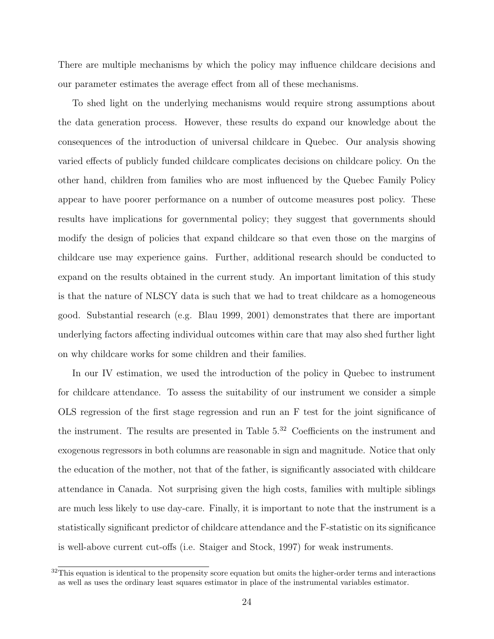There are multiple mechanisms by which the policy may influence childcare decisions and our parameter estimates the average effect from all of these mechanisms.

To shed light on the underlying mechanisms would require strong assumptions about the data generation process. However, these results do expand our knowledge about the consequences of the introduction of universal childcare in Quebec. Our analysis showing varied effects of publicly funded childcare complicates decisions on childcare policy. On the other hand, children from families who are most influenced by the Quebec Family Policy appear to have poorer performance on a number of outcome measures post policy. These results have implications for governmental policy; they suggest that governments should modify the design of policies that expand childcare so that even those on the margins of childcare use may experience gains. Further, additional research should be conducted to expand on the results obtained in the current study. An important limitation of this study is that the nature of NLSCY data is such that we had to treat childcare as a homogeneous good. Substantial research (e.g. Blau 1999, 2001) demonstrates that there are important underlying factors affecting individual outcomes within care that may also shed further light on why childcare works for some children and their families.

In our IV estimation, we used the introduction of the policy in Quebec to instrument for childcare attendance. To assess the suitability of our instrument we consider a simple OLS regression of the first stage regression and run an F test for the joint significance of the instrument. The results are presented in Table [5.](#page-26-0)[32](#page--1-0) Coefficients on the instrument and exogenous regressors in both columns are reasonable in sign and magnitude. Notice that only the education of the mother, not that of the father, is significantly associated with childcare attendance in Canada. Not surprising given the high costs, families with multiple siblings are much less likely to use day-care. Finally, it is important to note that the instrument is a statistically significant predictor of childcare attendance and the F-statistic on its significance is well-above current cut-offs (i.e. Staiger and Stock, 1997) for weak instruments.

 $32$ This equation is identical to the propensity score equation but omits the higher-order terms and interactions as well as uses the ordinary least squares estimator in place of the instrumental variables estimator.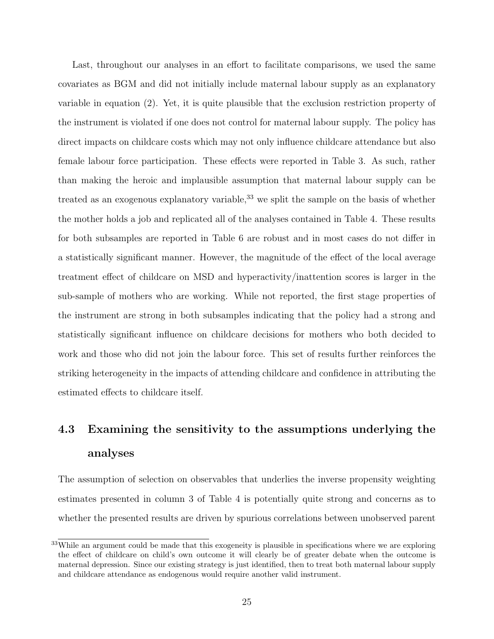Last, throughout our analyses in an effort to facilitate comparisons, we used the same covariates as BGM and did not initially include maternal labour supply as an explanatory variable in equation [\(2\)](#page-13-0). Yet, it is quite plausible that the exclusion restriction property of the instrument is violated if one does not control for maternal labour supply. The policy has direct impacts on childcare costs which may not only influence childcare attendance but also female labour force participation. These effects were reported in Table [3.](#page-20-0) As such, rather than making the heroic and implausible assumption that maternal labour supply can be treated as an exogenous explanatory variable,<sup>[33](#page--1-0)</sup> we split the sample on the basis of whether the mother holds a job and replicated all of the analyses contained in Table [4.](#page-21-0) These results for both subsamples are reported in Table [6](#page-27-0) are robust and in most cases do not differ in a statistically significant manner. However, the magnitude of the effect of the local average treatment effect of childcare on MSD and hyperactivity/inattention scores is larger in the sub-sample of mothers who are working. While not reported, the first stage properties of the instrument are strong in both subsamples indicating that the policy had a strong and statistically significant influence on childcare decisions for mothers who both decided to work and those who did not join the labour force. This set of results further reinforces the striking heterogeneity in the impacts of attending childcare and confidence in attributing the estimated effects to childcare itself.

# 4.3 Examining the sensitivity to the assumptions underlying the analyses

The assumption of selection on observables that underlies the inverse propensity weighting estimates presented in column 3 of Table [4](#page-21-0) is potentially quite strong and concerns as to whether the presented results are driven by spurious correlations between unobserved parent

<sup>&</sup>lt;sup>33</sup>While an argument could be made that this exogeneity is plausible in specifications where we are exploring the effect of childcare on child's own outcome it will clearly be of greater debate when the outcome is maternal depression. Since our existing strategy is just identified, then to treat both maternal labour supply and childcare attendance as endogenous would require another valid instrument.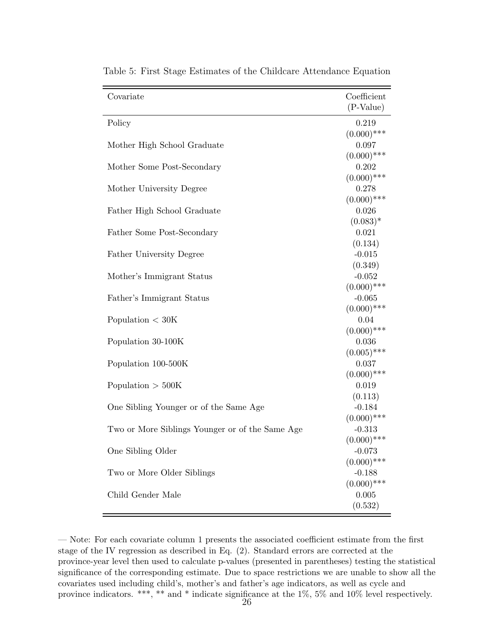| Covariate                                       | Coefficient               |
|-------------------------------------------------|---------------------------|
|                                                 | $(P-Value)$               |
| Policy                                          | 0.219                     |
|                                                 | $(0.000)$ ***             |
| Mother High School Graduate                     | 0.097                     |
|                                                 | $(0.000)$ ***             |
| Mother Some Post-Secondary                      | 0.202                     |
|                                                 | $(0.000)$ ***             |
| Mother University Degree                        | 0.278                     |
|                                                 | $(0.000)$ ***             |
| Father High School Graduate                     | 0.026                     |
|                                                 | $(0.083)^*$               |
| Father Some Post-Secondary                      | 0.021                     |
|                                                 | (0.134)                   |
| Father University Degree                        | $-0.015$                  |
|                                                 | (0.349)                   |
| Mother's Immigrant Status                       | $-0.052$                  |
|                                                 | $(0.000)$ ***             |
| Father's Immigrant Status                       | $-0.065$                  |
|                                                 | $(0.000)$ ***             |
| Population $< 30K$                              | 0.04                      |
|                                                 | $(0.000)$ ***             |
| Population 30-100K                              | 0.036                     |
|                                                 | $(0.005)$ ***             |
| Population 100-500K                             | 0.037                     |
|                                                 | $(0.000)$ ***             |
| Population $> 500K$                             | 0.019                     |
|                                                 | (0.113)                   |
| One Sibling Younger or of the Same Age          | $-0.184$                  |
|                                                 | $(0.000)$ ***<br>$-0.313$ |
| Two or More Siblings Younger or of the Same Age | $(0.000)$ ***             |
| One Sibling Older                               | $-0.073$                  |
|                                                 | $(0.000)$ ***             |
| Two or More Older Siblings                      | $-0.188$                  |
|                                                 | $(0.000)$ ***             |
| Child Gender Male                               | 0.005                     |
|                                                 | (0.532)                   |
|                                                 |                           |

<span id="page-26-0"></span>Table 5: First Stage Estimates of the Childcare Attendance Equation

— Note: For each covariate column 1 presents the associated coefficient estimate from the first stage of the IV regression as described in Eq. [\(2\)](#page-13-0). Standard errors are corrected at the province-year level then used to calculate p-values (presented in parentheses) testing the statistical significance of the corresponding estimate. Due to space restrictions we are unable to show all the covariates used including child's, mother's and father's age indicators, as well as cycle and province indicators. \*\*\*, \*\* and \* indicate significance at the 1%, 5% and 10% level respectively.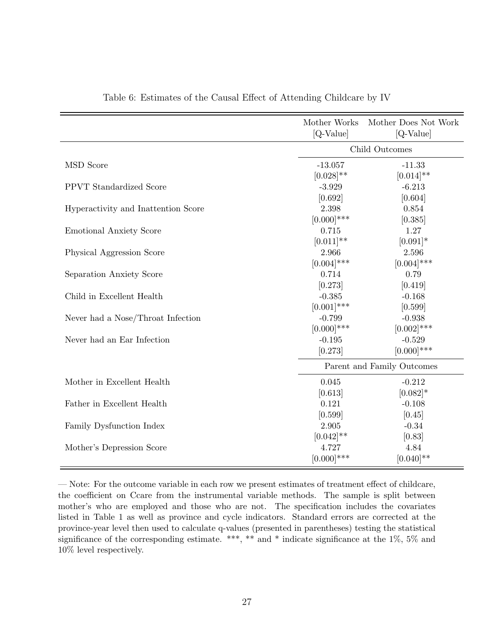<span id="page-27-0"></span>

|                                     | Mother Works<br>[Q-Value]   | Mother Does Not Work<br>$[Q-Value]$ |  |
|-------------------------------------|-----------------------------|-------------------------------------|--|
|                                     | Child Outcomes              |                                     |  |
| <b>MSD</b> Score                    |                             |                                     |  |
|                                     | $-13.057$<br>$[0.028]^{**}$ | $-11.33$<br>$[0.014]$ **            |  |
| <b>PPVT</b> Standardized Score      | $-3.929$                    | $-6.213$                            |  |
|                                     |                             |                                     |  |
|                                     | [0.692]                     | [0.604]                             |  |
| Hyperactivity and Inattention Score | 2.398                       | 0.854                               |  |
|                                     | $[0.000]$ ***               | [0.385]                             |  |
| <b>Emotional Anxiety Score</b>      | 0.715                       | 1.27                                |  |
|                                     | $[0.011]$ **                | $[0.091]*$                          |  |
| Physical Aggression Score           | 2.966                       | 2.596                               |  |
|                                     | $[0.004]$ ***               | $[0.004]$ ***                       |  |
| Separation Anxiety Score            | 0.714                       | 0.79                                |  |
|                                     | [0.273]                     | [0.419]                             |  |
| Child in Excellent Health           | $-0.385$                    | $-0.168$                            |  |
|                                     | $[0.001]$ ***               | [0.599]                             |  |
| Never had a Nose/Throat Infection   | $-0.799$                    | $-0.938$                            |  |
|                                     | $[0.000]$ ***               | $[0.002]$ ***                       |  |
| Never had an Ear Infection          | $-0.195$                    | $-0.529$                            |  |
|                                     | [0.273]                     | $[0.000]$ ***                       |  |
|                                     | Parent and Family Outcomes  |                                     |  |
| Mother in Excellent Health          | 0.045                       | $-0.212$                            |  |
|                                     | [0.613]                     | $[0.082]*$                          |  |
| Father in Excellent Health          | 0.121                       | $-0.108$                            |  |
|                                     | [0.599]                     | [0.45]                              |  |
| Family Dysfunction Index            | 2.905                       | $-0.34$                             |  |
|                                     | $[0.042]$ **                | [0.83]                              |  |
| Mother's Depression Score           | 4.727                       | 4.84                                |  |
|                                     | $[0.000]$ ***               | $[0.040]$ **                        |  |

Table 6: Estimates of the Causal Effect of Attending Childcare by IV

— Note: For the outcome variable in each row we present estimates of treatment effect of childcare, the coefficient on Ccare from the instrumental variable methods. The sample is split between mother's who are employed and those who are not. The specification includes the covariates listed in Table [1](#page-10-0) as well as province and cycle indicators. Standard errors are corrected at the province-year level then used to calculate q-values (presented in parentheses) testing the statistical significance of the corresponding estimate. \*\*\*, \*\* and \* indicate significance at the 1%, 5% and 10% level respectively.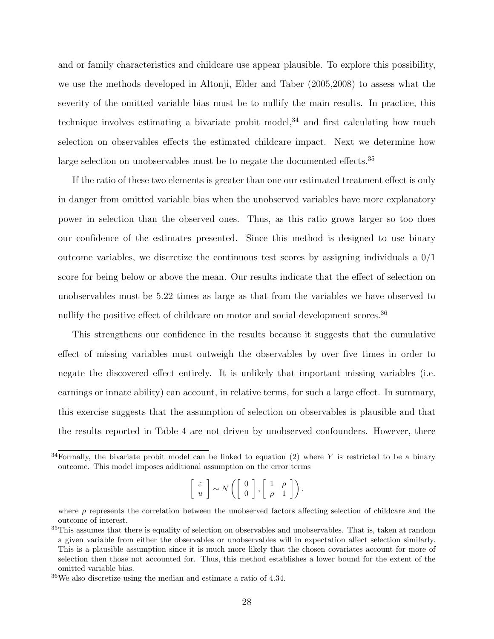and or family characteristics and childcare use appear plausible. To explore this possibility, we use the methods developed in Altonji, Elder and Taber (2005,2008) to assess what the severity of the omitted variable bias must be to nullify the main results. In practice, this technique involves estimating a bivariate probit model, $34$  and first calculating how much selection on observables effects the estimated childcare impact. Next we determine how large selection on unobservables must be to negate the documented effects.<sup>[35](#page--1-0)</sup>

If the ratio of these two elements is greater than one our estimated treatment effect is only in danger from omitted variable bias when the unobserved variables have more explanatory power in selection than the observed ones. Thus, as this ratio grows larger so too does our confidence of the estimates presented. Since this method is designed to use binary outcome variables, we discretize the continuous test scores by assigning individuals a  $0/1$ score for being below or above the mean. Our results indicate that the effect of selection on unobservables must be 5.22 times as large as that from the variables we have observed to nullify the positive effect of childcare on motor and social development scores.<sup>[36](#page--1-0)</sup>

This strengthens our confidence in the results because it suggests that the cumulative effect of missing variables must outweigh the observables by over five times in order to negate the discovered effect entirely. It is unlikely that important missing variables (i.e. earnings or innate ability) can account, in relative terms, for such a large effect. In summary, this exercise suggests that the assumption of selection on observables is plausible and that the results reported in Table [4](#page-21-0) are not driven by unobserved confounders. However, there

$$
\left[\begin{array}{c} \varepsilon \\ u \end{array}\right] \sim N\left(\left[\begin{array}{c} 0 \\ 0 \end{array}\right], \left[\begin{array}{cc} 1 & \rho \\ \rho & 1 \end{array}\right]\right).
$$

 $34$ Formally, the bivariate probit model can be linked to equation [\(2\)](#page-13-0) where Y is restricted to be a binary outcome. This model imposes additional assumption on the error terms

where  $\rho$  represents the correlation between the unobserved factors affecting selection of childcare and the outcome of interest.

<sup>&</sup>lt;sup>35</sup>This assumes that there is equality of selection on observables and unobservables. That is, taken at random a given variable from either the observables or unobservables will in expectation affect selection similarly. This is a plausible assumption since it is much more likely that the chosen covariates account for more of selection then those not accounted for. Thus, this method establishes a lower bound for the extent of the omitted variable bias.

 $36\text{We also discretize using the median and estimate a ratio of }4.34.$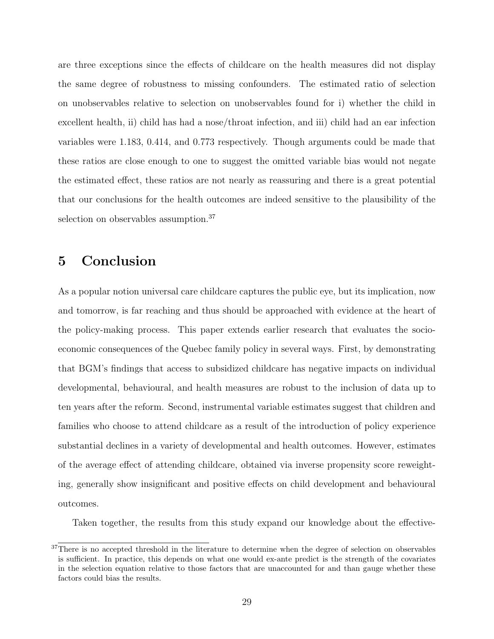are three exceptions since the effects of childcare on the health measures did not display the same degree of robustness to missing confounders. The estimated ratio of selection on unobservables relative to selection on unobservables found for i) whether the child in excellent health, ii) child has had a nose/throat infection, and iii) child had an ear infection variables were 1.183, 0.414, and 0.773 respectively. Though arguments could be made that these ratios are close enough to one to suggest the omitted variable bias would not negate the estimated effect, these ratios are not nearly as reassuring and there is a great potential that our conclusions for the health outcomes are indeed sensitive to the plausibility of the selection on observables assumption.<sup>[37](#page--1-0)</sup>

### 5 Conclusion

As a popular notion universal care childcare captures the public eye, but its implication, now and tomorrow, is far reaching and thus should be approached with evidence at the heart of the policy-making process. This paper extends earlier research that evaluates the socioeconomic consequences of the Quebec family policy in several ways. First, by demonstrating that BGM's findings that access to subsidized childcare has negative impacts on individual developmental, behavioural, and health measures are robust to the inclusion of data up to ten years after the reform. Second, instrumental variable estimates suggest that children and families who choose to attend childcare as a result of the introduction of policy experience substantial declines in a variety of developmental and health outcomes. However, estimates of the average effect of attending childcare, obtained via inverse propensity score reweighting, generally show insignificant and positive effects on child development and behavioural outcomes.

Taken together, the results from this study expand our knowledge about the effective-

<sup>&</sup>lt;sup>37</sup>There is no accepted threshold in the literature to determine when the degree of selection on observables is sufficient. In practice, this depends on what one would ex-ante predict is the strength of the covariates in the selection equation relative to those factors that are unaccounted for and than gauge whether these factors could bias the results.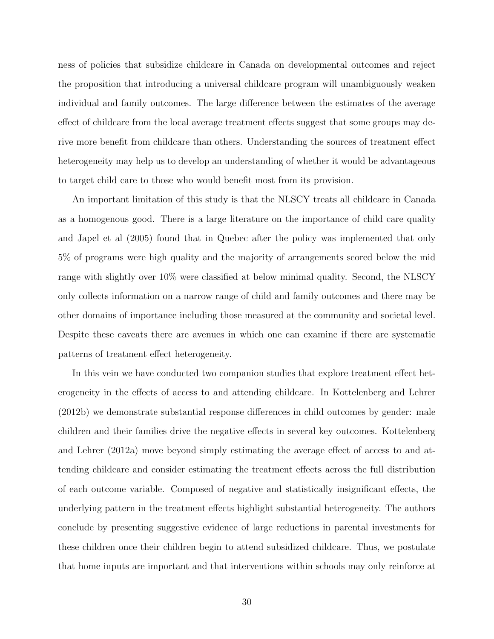ness of policies that subsidize childcare in Canada on developmental outcomes and reject the proposition that introducing a universal childcare program will unambiguously weaken individual and family outcomes. The large difference between the estimates of the average effect of childcare from the local average treatment effects suggest that some groups may derive more benefit from childcare than others. Understanding the sources of treatment effect heterogeneity may help us to develop an understanding of whether it would be advantageous to target child care to those who would benefit most from its provision.

An important limitation of this study is that the NLSCY treats all childcare in Canada as a homogenous good. There is a large literature on the importance of child care quality and Japel et al (2005) found that in Quebec after the policy was implemented that only 5% of programs were high quality and the majority of arrangements scored below the mid range with slightly over 10% were classified at below minimal quality. Second, the NLSCY only collects information on a narrow range of child and family outcomes and there may be other domains of importance including those measured at the community and societal level. Despite these caveats there are avenues in which one can examine if there are systematic patterns of treatment effect heterogeneity.

In this vein we have conducted two companion studies that explore treatment effect heterogeneity in the effects of access to and attending childcare. In Kottelenberg and Lehrer (2012b) we demonstrate substantial response differences in child outcomes by gender: male children and their families drive the negative effects in several key outcomes. Kottelenberg and Lehrer (2012a) move beyond simply estimating the average effect of access to and attending childcare and consider estimating the treatment effects across the full distribution of each outcome variable. Composed of negative and statistically insignificant effects, the underlying pattern in the treatment effects highlight substantial heterogeneity. The authors conclude by presenting suggestive evidence of large reductions in parental investments for these children once their children begin to attend subsidized childcare. Thus, we postulate that home inputs are important and that interventions within schools may only reinforce at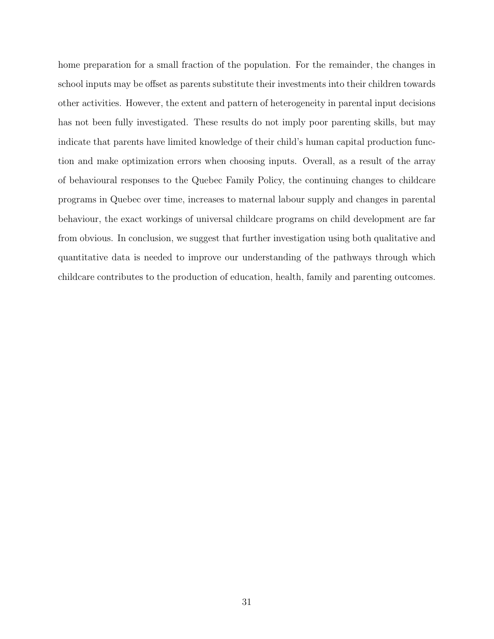home preparation for a small fraction of the population. For the remainder, the changes in school inputs may be offset as parents substitute their investments into their children towards other activities. However, the extent and pattern of heterogeneity in parental input decisions has not been fully investigated. These results do not imply poor parenting skills, but may indicate that parents have limited knowledge of their child's human capital production function and make optimization errors when choosing inputs. Overall, as a result of the array of behavioural responses to the Quebec Family Policy, the continuing changes to childcare programs in Quebec over time, increases to maternal labour supply and changes in parental behaviour, the exact workings of universal childcare programs on child development are far from obvious. In conclusion, we suggest that further investigation using both qualitative and quantitative data is needed to improve our understanding of the pathways through which childcare contributes to the production of education, health, family and parenting outcomes.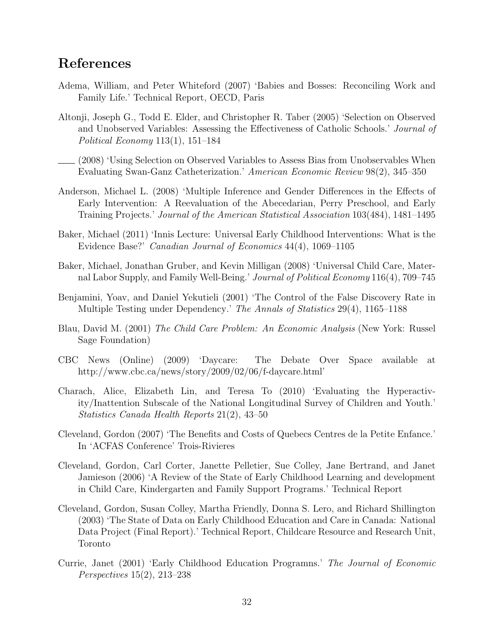## References

- Adema, William, and Peter Whiteford (2007) 'Babies and Bosses: Reconciling Work and Family Life.' Technical Report, OECD, Paris
- Altonji, Joseph G., Todd E. Elder, and Christopher R. Taber (2005) 'Selection on Observed and Unobserved Variables: Assessing the Effectiveness of Catholic Schools.' Journal of Political Economy 113(1), 151–184
- (2008) 'Using Selection on Observed Variables to Assess Bias from Unobservables When Evaluating Swan-Ganz Catheterization.' American Economic Review 98(2), 345–350
- Anderson, Michael L. (2008) 'Multiple Inference and Gender Differences in the Effects of Early Intervention: A Reevaluation of the Abecedarian, Perry Preschool, and Early Training Projects.' Journal of the American Statistical Association 103(484), 1481–1495
- Baker, Michael (2011) 'Innis Lecture: Universal Early Childhood Interventions: What is the Evidence Base?' Canadian Journal of Economics 44(4), 1069–1105
- Baker, Michael, Jonathan Gruber, and Kevin Milligan (2008) 'Universal Child Care, Maternal Labor Supply, and Family Well-Being.' Journal of Political Economy 116(4), 709–745
- Benjamini, Yoav, and Daniel Yekutieli (2001) 'The Control of the False Discovery Rate in Multiple Testing under Dependency.' The Annals of Statistics 29(4), 1165–1188
- Blau, David M. (2001) The Child Care Problem: An Economic Analysis (New York: Russel Sage Foundation)
- CBC News (Online) (2009) 'Daycare: The Debate Over Space available at http://www.cbc.ca/news/story/2009/02/06/f-daycare.html'
- Charach, Alice, Elizabeth Lin, and Teresa To (2010) 'Evaluating the Hyperactivity/Inattention Subscale of the National Longitudinal Survey of Children and Youth.' Statistics Canada Health Reports 21(2), 43–50
- Cleveland, Gordon (2007) 'The Benefits and Costs of Quebecs Centres de la Petite Enfance.' In 'ACFAS Conference' Trois-Rivieres
- Cleveland, Gordon, Carl Corter, Janette Pelletier, Sue Colley, Jane Bertrand, and Janet Jamieson (2006) 'A Review of the State of Early Childhood Learning and development in Child Care, Kindergarten and Family Support Programs.' Technical Report
- Cleveland, Gordon, Susan Colley, Martha Friendly, Donna S. Lero, and Richard Shillington (2003) 'The State of Data on Early Childhood Education and Care in Canada: National Data Project (Final Report).' Technical Report, Childcare Resource and Research Unit, Toronto
- Currie, Janet (2001) 'Early Childhood Education Programns.' The Journal of Economic Perspectives 15(2), 213–238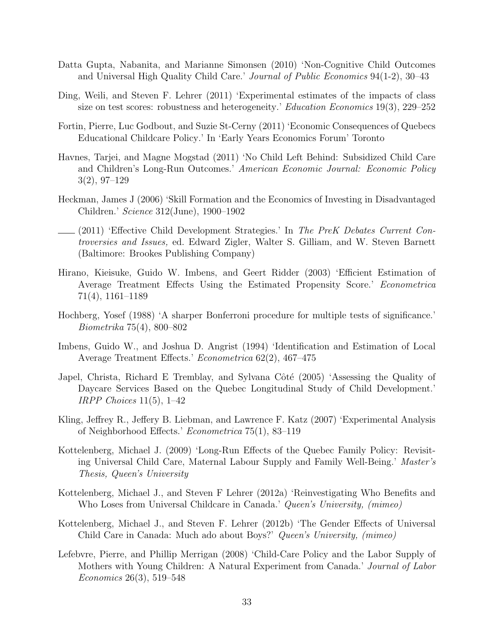- Datta Gupta, Nabanita, and Marianne Simonsen (2010) 'Non-Cognitive Child Outcomes and Universal High Quality Child Care.' Journal of Public Economics 94(1-2), 30–43
- Ding, Weili, and Steven F. Lehrer (2011) 'Experimental estimates of the impacts of class size on test scores: robustness and heterogeneity.' Education Economics 19(3), 229–252
- Fortin, Pierre, Luc Godbout, and Suzie St-Cerny (2011) 'Economic Consequences of Quebecs Educational Childcare Policy.' In 'Early Years Economics Forum' Toronto
- Havnes, Tarjei, and Magne Mogstad (2011) 'No Child Left Behind: Subsidized Child Care and Children's Long-Run Outcomes.' American Economic Journal: Economic Policy 3(2), 97–129
- Heckman, James J (2006) 'Skill Formation and the Economics of Investing in Disadvantaged Children.' Science 312(June), 1900–1902
- $(2011)$  'Effective Child Development Strategies.' In The PreK Debates Current Controversies and Issues, ed. Edward Zigler, Walter S. Gilliam, and W. Steven Barnett (Baltimore: Brookes Publishing Company)
- Hirano, Kieisuke, Guido W. Imbens, and Geert Ridder (2003) 'Efficient Estimation of Average Treatment Effects Using the Estimated Propensity Score.' Econometrica 71(4), 1161–1189
- Hochberg, Yosef (1988) 'A sharper Bonferroni procedure for multiple tests of significance.' Biometrika 75(4), 800–802
- Imbens, Guido W., and Joshua D. Angrist (1994) 'Identification and Estimation of Local Average Treatment Effects.' Econometrica 62(2), 467–475
- Japel, Christa, Richard E Tremblay, and Sylvana Côté (2005) 'Assessing the Quality of Daycare Services Based on the Quebec Longitudinal Study of Child Development.' IRPP Choices  $11(5)$ ,  $1-42$
- Kling, Jeffrey R., Jeffery B. Liebman, and Lawrence F. Katz (2007) 'Experimental Analysis of Neighborhood Effects.' Econometrica 75(1), 83–119
- Kottelenberg, Michael J. (2009) 'Long-Run Effects of the Quebec Family Policy: Revisiting Universal Child Care, Maternal Labour Supply and Family Well-Being.' Master's Thesis, Queen's University
- Kottelenberg, Michael J., and Steven F Lehrer (2012a) 'Reinvestigating Who Benefits and Who Loses from Universal Childcare in Canada.' Queen's University, (mimeo)
- Kottelenberg, Michael J., and Steven F. Lehrer (2012b) 'The Gender Effects of Universal Child Care in Canada: Much ado about Boys?' Queen's University, (mimeo)
- Lefebvre, Pierre, and Phillip Merrigan (2008) 'Child-Care Policy and the Labor Supply of Mothers with Young Children: A Natural Experiment from Canada.' Journal of Labor Economics 26(3), 519–548